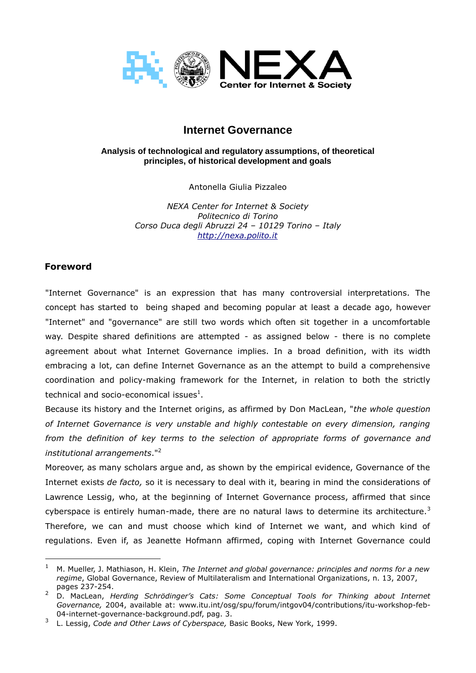

# **Internet Governance**

### **Analysis of technological and regulatory assumptions, of theoretical principles, of historical development and goals**

Antonella Giulia Pizzaleo

*NEXA Center for Internet & Society Politecnico di Torino Corso Duca degli Abruzzi 24 – 10129 Torino – Italy [http://nexa.polito.it](http://nexa.polito.it/)*

## **Foreword**

-

"Internet Governance" is an expression that has many controversial interpretations. The concept has started to being shaped and becoming popular at least a decade ago, however "Internet" and "governance" are still two words which often sit together in a uncomfortable way. Despite shared definitions are attempted - as assigned below - there is no complete agreement about what Internet Governance implies. In a broad definition, with its width embracing a lot, can define Internet Governance as an the attempt to build a comprehensive coordination and policy-making framework for the Internet, in relation to both the strictly technical and socio-economical issues $^1$ .

Because its history and the Internet origins, as affirmed by Don MacLean, "*the whole question of Internet Governance is very unstable and highly contestable on every dimension, ranging from the definition of key terms to the selection of appropriate forms of governance and institutional arrangements*."<sup>2</sup>

Moreover, as many scholars argue and, as shown by the empirical evidence, Governance of the Internet exists *de facto,* so it is necessary to deal with it, bearing in mind the considerations of Lawrence Lessig, who, at the beginning of Internet Governance process, affirmed that since cyberspace is entirely human-made, there are no natural laws to determine its architecture. $3$ Therefore, we can and must choose which kind of Internet we want, and which kind of regulations. Even if, as Jeanette Hofmann affirmed, coping with Internet Governance could

<sup>&</sup>lt;sup>1</sup> M. Mueller, J. Mathiason, H. Klein, *The Internet and global governance: principles and norms for a new regime*, Global Governance, Review of Multilateralism and International Organizations, n. 13, 2007, pages 237-254.

<sup>2</sup> D. MacLean, *Herding Schrödinger's Cats: Some Conceptual Tools for Thinking about Internet Governance,* 2004, available at: www.itu.int/osg/spu/forum/intgov04/contributions/itu-workshop-feb-04-internet-governance-background.pdf, pag. 3.

<sup>3</sup> L. Lessig, *Code and Other Laws of Cyberspace,* Basic Books, New York, 1999.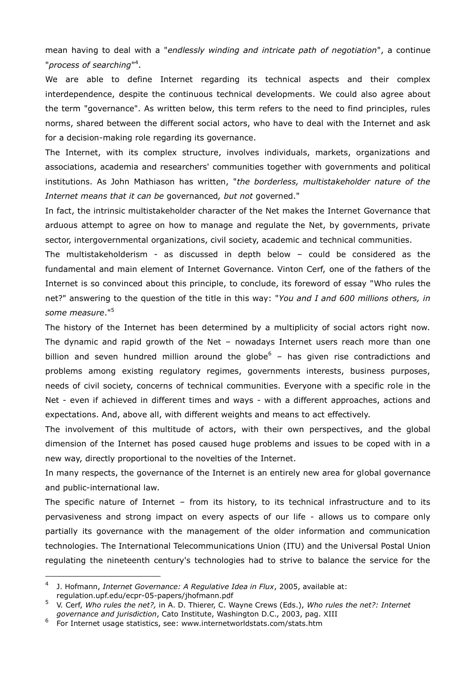mean having to deal with a "*endlessly winding and intricate path of negotiation*", a continue "*process of searching*" 4 .

We are able to define Internet regarding its technical aspects and their complex interdependence, despite the continuous technical developments. We could also agree about the term "governance". As written below, this term refers to the need to find principles, rules norms, shared between the different social actors, who have to deal with the Internet and ask for a decision-making role regarding its governance.

The Internet, with its complex structure, involves individuals, markets, organizations and associations, academia and researchers' communities together with governments and political institutions. As John Mathiason has written, "*the borderless, multistakeholder nature of the Internet means that it can be* governanced*, but not* governed."

In fact, the intrinsic multistakeholder character of the Net makes the Internet Governance that arduous attempt to agree on how to manage and regulate the Net, by governments, private sector, intergovernmental organizations, civil society, academic and technical communities.

The multistakeholderism - as discussed in depth below – could be considered as the fundamental and main element of Internet Governance. Vinton Cerf, one of the fathers of the Internet is so convinced about this principle, to conclude, its foreword of essay "Who rules the net?" answering to the question of the title in this way: "*You and I and 600 millions others, in some measure*."<sup>5</sup>

The history of the Internet has been determined by a multiplicity of social actors right now. The dynamic and rapid growth of the Net – nowadays Internet users reach more than one billion and seven hundred million around the globe<sup>6</sup> – has given rise contradictions and problems among existing regulatory regimes, governments interests, business purposes, needs of civil society, concerns of technical communities. Everyone with a specific role in the Net - even if achieved in different times and ways - with a different approaches, actions and expectations. And, above all, with different weights and means to act effectively.

The involvement of this multitude of actors, with their own perspectives, and the global dimension of the Internet has posed caused huge problems and issues to be coped with in a new way, directly proportional to the novelties of the Internet.

In many respects, the governance of the Internet is an entirely new area for global governance and public-international law.

The specific nature of Internet – from its history, to its technical infrastructure and to its pervasiveness and strong impact on every aspects of our life - allows us to compare only partially its governance with the management of the older information and communication technologies. The International Telecommunications Union (ITU) and the Universal Postal Union regulating the nineteenth century's technologies had to strive to balance the service for the

<sup>4</sup> J. Hofmann, *Internet Governance: A Regulative Idea in Flux*, 2005, available at: regulation.upf.edu/ecpr-05-papers/jhofmann.pdf

<sup>5</sup> V. Cerf, *Who rules the net?,* in A. D. Thierer, C. Wayne Crews (Eds.), *Who rules the net?: Internet governance and jurisdiction*, Cato Institute, Washington D.C., 2003, pag. XIII

 $6$  For Internet usage statistics, see: www.internetworldstats.com/stats.htm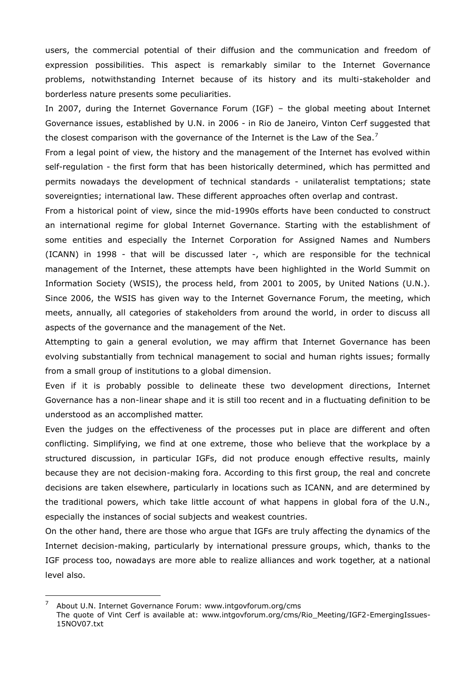users, the commercial potential of their diffusion and the communication and freedom of expression possibilities. This aspect is remarkably similar to the Internet Governance problems, notwithstanding Internet because of its history and its multi-stakeholder and borderless nature presents some peculiarities.

In 2007, during the Internet Governance Forum (IGF) – the global meeting about Internet Governance issues, established by U.N. in 2006 - in Rio de Janeiro, Vinton Cerf suggested that the closest comparison with the governance of the Internet is the Law of the Sea.<sup>7</sup>

From a legal point of view, the history and the management of the Internet has evolved within self-regulation - the first form that has been historically determined, which has permitted and permits nowadays the development of technical standards - unilateralist temptations; state sovereignties; international law. These different approaches often overlap and contrast.

From a historical point of view, since the mid-1990s efforts have been conducted to construct an international regime for global Internet Governance. Starting with the establishment of some entities and especially the Internet Corporation for Assigned Names and Numbers (ICANN) in 1998 - that will be discussed later -, which are responsible for the technical management of the Internet, these attempts have been highlighted in the World Summit on Information Society (WSIS), the process held, from 2001 to 2005, by United Nations (U.N.). Since 2006, the WSIS has given way to the Internet Governance Forum, the meeting, which meets, annually, all categories of stakeholders from around the world, in order to discuss all aspects of the governance and the management of the Net.

Attempting to gain a general evolution, we may affirm that Internet Governance has been evolving substantially from technical management to social and human rights issues; formally from a small group of institutions to a global dimension.

Even if it is probably possible to delineate these two development directions, Internet Governance has a non-linear shape and it is still too recent and in a fluctuating definition to be understood as an accomplished matter.

Even the judges on the effectiveness of the processes put in place are different and often conflicting. Simplifying, we find at one extreme, those who believe that the workplace by a structured discussion, in particular IGFs, did not produce enough effective results, mainly because they are not decision-making fora. According to this first group, the real and concrete decisions are taken elsewhere, particularly in locations such as ICANN, and are determined by the traditional powers, which take little account of what happens in global fora of the U.N., especially the instances of social subjects and weakest countries.

On the other hand, there are those who argue that IGFs are truly affecting the dynamics of the Internet decision-making, particularly by international pressure groups, which, thanks to the IGF process too, nowadays are more able to realize alliances and work together, at a national level also.

About U.N. Internet Governance Forum: www.intgovforum.org/cms The quote of Vint Cerf is available at: www.intgovforum.org/cms/Rio\_Meeting/IGF2-EmergingIssues-15NOV07.txt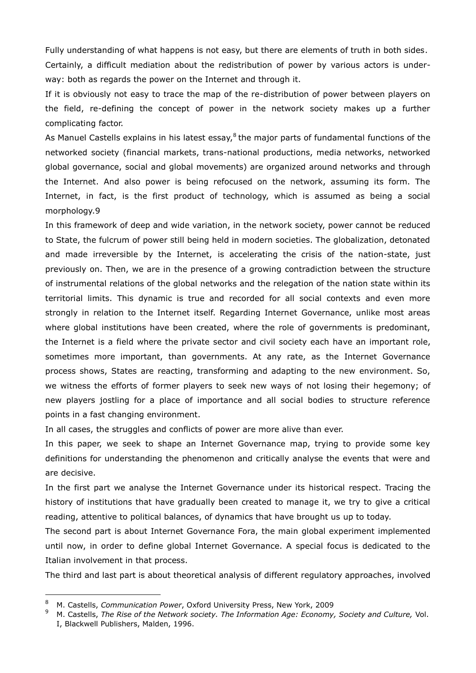Fully understanding of what happens is not easy, but there are elements of truth in both sides. Certainly, a difficult mediation about the redistribution of power by various actors is underway: both as regards the power on the Internet and through it.

If it is obviously not easy to trace the map of the re-distribution of power between players on the field, re-defining the concept of power in the network society makes up a further complicating factor.

As Manuel Castells explains in his latest essay,  $8$  the major parts of fundamental functions of the networked society (financial markets, trans-national productions, media networks, networked global governance, social and global movements) are organized around networks and through the Internet. And also power is being refocused on the network, assuming its form. The Internet, in fact, is the first product of technology, which is assumed as being a social morphology.9

In this framework of deep and wide variation, in the network society, power cannot be reduced to State, the fulcrum of power still being held in modern societies. The globalization, detonated and made irreversible by the Internet, is accelerating the crisis of the nation-state, just previously on. Then, we are in the presence of a growing contradiction between the structure of instrumental relations of the global networks and the relegation of the nation state within its territorial limits. This dynamic is true and recorded for all social contexts and even more strongly in relation to the Internet itself. Regarding Internet Governance, unlike most areas where global institutions have been created, where the role of governments is predominant, the Internet is a field where the private sector and civil society each have an important role, sometimes more important, than governments. At any rate, as the Internet Governance process shows, States are reacting, transforming and adapting to the new environment. So, we witness the efforts of former players to seek new ways of not losing their hegemony; of new players jostling for a place of importance and all social bodies to structure reference points in a fast changing environment.

In all cases, the struggles and conflicts of power are more alive than ever.

In this paper, we seek to shape an Internet Governance map, trying to provide some key definitions for understanding the phenomenon and critically analyse the events that were and are decisive.

In the first part we analyse the Internet Governance under its historical respect. Tracing the history of institutions that have gradually been created to manage it, we try to give a critical reading, attentive to political balances, of dynamics that have brought us up to today.

The second part is about Internet Governance Fora, the main global experiment implemented until now, in order to define global Internet Governance. A special focus is dedicated to the Italian involvement in that process.

The third and last part is about theoretical analysis of different regulatory approaches, involved

<sup>8</sup> M. Castells, *Communication Power*, Oxford University Press, New York, 2009

<sup>9</sup> M. Castells, *The Rise of the Network society. The Information Age: Economy, Society and Culture,* Vol. I, Blackwell Publishers, Malden, 1996.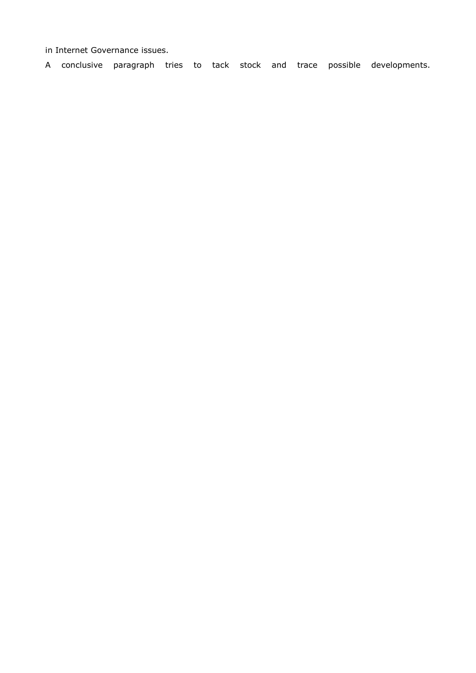in Internet Governance issues.

A conclusive paragraph tries to tack stock and trace possible developments.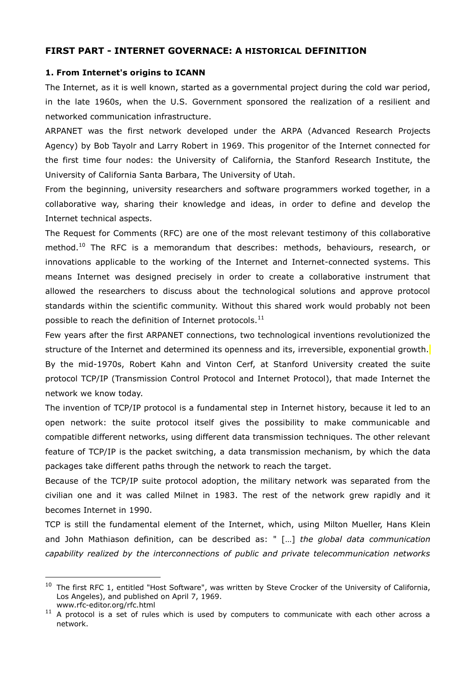### **FIRST PART - INTERNET GOVERNACE: A HISTORICAL DEFINITION**

#### **1. From Internet's origins to ICANN**

-

The Internet, as it is well known, started as a governmental project during the cold war period, in the late 1960s, when the U.S. Government sponsored the realization of a resilient and networked communication infrastructure.

ARPANET was the first network developed under the ARPA (Advanced Research Projects Agency) by Bob Tayolr and Larry Robert in 1969. This progenitor of the Internet connected for the first time four nodes: the University of California, the Stanford Research Institute, the University of California Santa Barbara, The University of Utah.

From the beginning, university researchers and software programmers worked together, in a collaborative way, sharing their knowledge and ideas, in order to define and develop the Internet technical aspects.

The Request for Comments (RFC) are one of the most relevant testimony of this collaborative method. <sup>10</sup> The RFC is a memorandum that describes: methods, behaviours, research, or innovations applicable to the working of the Internet and Internet-connected systems. This means Internet was designed precisely in order to create a collaborative instrument that allowed the researchers to discuss about the technological solutions and approve protocol standards within the scientific community. Without this shared work would probably not been possible to reach the definition of Internet protocols.<sup>11</sup>

Few years after the first ARPANET connections, two technological inventions revolutionized the structure of the Internet and determined its openness and its, irreversible, exponential growth. By the mid-1970s, Robert Kahn and Vinton Cerf, at Stanford University created the suite protocol TCP/IP (Transmission Control Protocol and Internet Protocol), that made Internet the network we know today.

The invention of TCP/IP protocol is a fundamental step in Internet history, because it led to an open network: the suite protocol itself gives the possibility to make communicable and compatible different networks, using different data transmission techniques. The other relevant feature of TCP/IP is the packet switching, a data transmission mechanism, by which the data packages take different paths through the network to reach the target.

Because of the TCP/IP suite protocol adoption, the military network was separated from the civilian one and it was called Milnet in 1983. The rest of the network grew rapidly and it becomes Internet in 1990.

TCP is still the fundamental element of the Internet, which, using Milton Mueller, Hans Klein and John Mathiason definition, can be described as: " […] *the global data communication capability realized by the interconnections of public and private telecommunication networks* 

 $10$  The first RFC 1, entitled "Host Software", was written by Steve Crocker of the University of California, Los Angeles), and published on April 7, 1969. www.rfc-editor.org/rfc.html

 $11$  A protocol is a set of rules which is used by computers to communicate with each other across a network.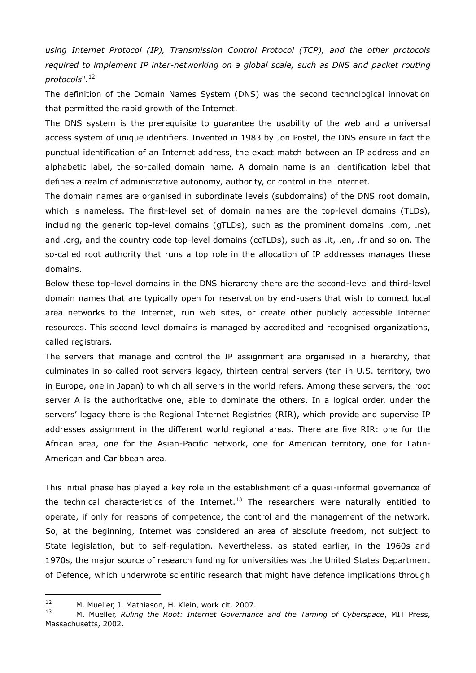*using Internet Protocol (IP), Transmission Control Protocol (TCP), and the other protocols required to implement IP inter-networking on a global scale, such as DNS and packet routing protocols*"*.* 12

The definition of the Domain Names System (DNS) was the second technological innovation that permitted the rapid growth of the Internet.

The DNS system is the prerequisite to guarantee the usability of the web and a universal access system of unique identifiers. Invented in 1983 by Jon Postel, the DNS ensure in fact the punctual identification of an Internet address, the exact match between an IP address and an alphabetic label, the so-called domain name. A domain name is an identification label that defines a realm of administrative autonomy, authority, or control in the Internet.

The domain names are organised in subordinate levels (subdomains) of the DNS root domain, which is nameless. The first-level set of domain names are the top-level domains (TLDs), including the generic top-level domains (gTLDs), such as the prominent domains .com, .net and .org, and the country code top-level domains (ccTLDs), such as .it, .en, .fr and so on. The so-called root authority that runs a top role in the allocation of IP addresses manages these domains.

Below these top-level domains in the DNS hierarchy there are the second-level and third-level domain names that are typically open for reservation by end-users that wish to connect local area networks to the Internet, run web sites, or create other publicly accessible Internet resources. This second level domains is managed by accredited and recognised organizations, called registrars.

The servers that manage and control the IP assignment are organised in a hierarchy, that culminates in so-called root servers legacy, thirteen central servers (ten in U.S. territory, two in Europe, one in Japan) to which all servers in the world refers. Among these servers, the root server A is the authoritative one, able to dominate the others. In a logical order, under the servers' legacy there is the Regional Internet Registries (RIR), which provide and supervise IP addresses assignment in the different world regional areas. There are five RIR: one for the African area, one for the Asian-Pacific network, one for American territory, one for Latin-American and Caribbean area.

This initial phase has played a key role in the establishment of a quasi-informal governance of the technical characteristics of the Internet.<sup>13</sup> The researchers were naturally entitled to operate, if only for reasons of competence, the control and the management of the network. So, at the beginning, Internet was considered an area of absolute freedom, not subject to State legislation, but to self-regulation. Nevertheless, as stated earlier, in the 1960s and 1970s, the major source of research funding for universities was the United States Department of Defence, which underwrote scientific research that might have defence implications through

 $12$  $12$  M. Mueller, J. Mathiason, H. Klein, work cit. 2007.

<sup>13</sup> M. Mueller, *Ruling the Root: Internet Governance and the Taming of Cyberspace*, MIT Press, Massachusetts, 2002.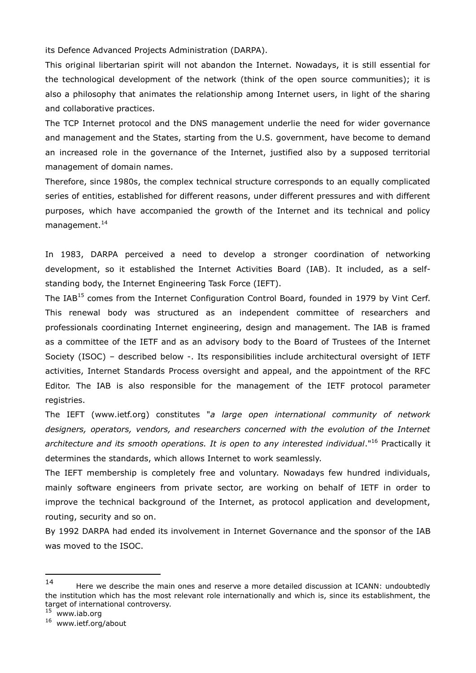its Defence Advanced Projects Administration (DARPA).

This original libertarian spirit will not abandon the Internet. Nowadays, it is still essential for the technological development of the network (think of the open source communities); it is also a philosophy that animates the relationship among Internet users, in light of the sharing and collaborative practices.

The TCP Internet protocol and the DNS management underlie the need for wider governance and management and the States, starting from the U.S. government, have become to demand an increased role in the governance of the Internet, justified also by a supposed territorial management of domain names.

Therefore, since 1980s, the complex technical structure corresponds to an equally complicated series of entities, established for different reasons, under different pressures and with different purposes, which have accompanied the growth of the Internet and its technical and policy management.<sup>14</sup>

In 1983, DARPA perceived a need to develop a stronger coordination of networking development, so it established the Internet Activities Board (IAB). It included, as a selfstanding body, the Internet Engineering Task Force (IEFT).

The IAB<sup>15</sup> comes from the Internet Configuration Control Board, founded in 1979 by Vint Cerf. This renewal body was structured as an independent committee of researchers and professionals coordinating Internet engineering, design and management. The IAB is framed as a committee of the IETF and as an advisory body to the Board of Trustees of the Internet Society (ISOC) – described below -. Its responsibilities include architectural oversight of IETF activities, Internet Standards Process oversight and appeal, and the appointment of the RFC Editor. The IAB is also responsible for the management of the IETF protocol parameter registries.

The IEFT (www.ietf.org) constitutes "*a large open international community of network designers, operators, vendors, and researchers concerned with the evolution of the Internet architecture and its smooth operations. It is open to any interested individual*."<sup>16</sup> Practically it determines the standards, which allows Internet to work seamlessly.

The IEFT membership is completely free and voluntary. Nowadays few hundred individuals, mainly software engineers from private sector, are working on behalf of IETF in order to improve the technical background of the Internet, as protocol application and development, routing, security and so on.

By 1992 DARPA had ended its involvement in Internet Governance and the sponsor of the IAB was moved to the ISOC.

 $14$ Here we describe the main ones and reserve a more detailed discussion at ICANN: undoubtedly the institution which has the most relevant role internationally and which is, since its establishment, the target of international controversy.

<sup>15</sup> www.iab.org

<sup>16</sup> www.ietf.org/about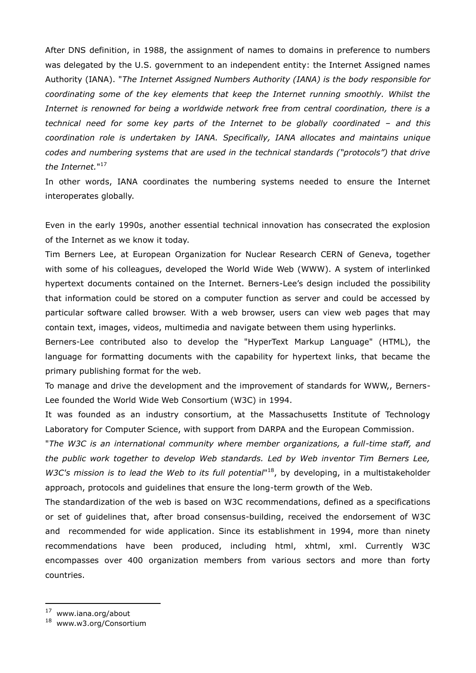After DNS definition, in 1988, the assignment of names to domains in preference to numbers was delegated by the U.S. government to an independent entity: the Internet Assigned names Authority (IANA). "*The Internet Assigned Numbers Authority (IANA) is the body responsible for coordinating some of the key elements that keep the Internet running smoothly. Whilst the Internet is renowned for being a worldwide network free from central coordination, there is a technical need for some key parts of the Internet to be globally coordinated - and this coordination role is undertaken by IANA. Specifically, IANA allocates and maintains unique codes and numbering systems that are used in the technical standards ("protocols") that drive the Internet.*" 17

In other words, IANA coordinates the numbering systems needed to ensure the Internet interoperates globally.

Even in the early 1990s, another essential technical innovation has consecrated the explosion of the Internet as we know it today.

Tim Berners Lee, at European Organization for Nuclear Research CERN of Geneva, together with some of his colleagues, developed the World Wide Web (WWW). A system of interlinked hypertext documents contained on the Internet. Berners-Lee's design included the possibility that information could be stored on a computer function as server and could be accessed by particular software called browser. With a web browser, users can view web pages that may contain text, images, videos, multimedia and navigate between them using hyperlinks.

Berners-Lee contributed also to develop the "HyperText Markup Language" (HTML), the language for formatting documents with the capability for hypertext links, that became the primary publishing format for the web.

To manage and drive the development and the improvement of standards for WWW,, Berners-Lee founded the World Wide Web Consortium (W3C) in 1994.

It was founded as an industry consortium, at the Massachusetts Institute of Technology Laboratory for Computer Science, with support from DARPA and the European Commission.

"*The W3C is an international community where member organizations, a full-time staff, and the public work together to develop Web standards. Led by Web inventor Tim Berners Lee,*  W3C's mission is to lead the Web to its full potential<sup>"18</sup>, by developing, in a multistakeholder approach, protocols and guidelines that ensure the long-term growth of the Web.

The standardization of the web is based on W3C recommendations, defined as a specifications or set of guidelines that, after broad consensus-building, received the endorsement of W3C and recommended for wide application. Since its establishment in 1994, more than ninety recommendations have been produced, including html, xhtml, xml. Currently W3C encompasses over 400 organization members from various sectors and more than forty countries.

<sup>17</sup> www.iana.org/about

<sup>18</sup> www.w3.org/Consortium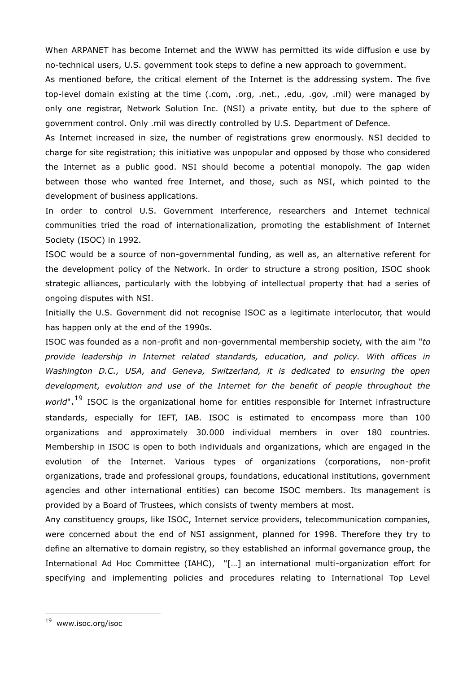When ARPANET has become Internet and the WWW has permitted its wide diffusion e use by no-technical users, U.S. government took steps to define a new approach to government.

As mentioned before, the critical element of the Internet is the addressing system. The five top-level domain existing at the time (.com, .org, .net., .edu, .gov, .mil) were managed by only one registrar, Network Solution Inc. (NSI) a private entity, but due to the sphere of government control. Only .mil was directly controlled by U.S. Department of Defence.

As Internet increased in size, the number of registrations grew enormously. NSI decided to charge for site registration; this initiative was unpopular and opposed by those who considered the Internet as a public good. NSI should become a potential monopoly. The gap widen between those who wanted free Internet, and those, such as NSI, which pointed to the development of business applications.

In order to control U.S. Government interference, researchers and Internet technical communities tried the road of internationalization, promoting the establishment of Internet Society (ISOC) in 1992.

ISOC would be a source of non-governmental funding, as well as, an alternative referent for the development policy of the Network. In order to structure a strong position, ISOC shook strategic alliances, particularly with the lobbying of intellectual property that had a series of ongoing disputes with NSI.

Initially the U.S. Government did not recognise ISOC as a legitimate interlocutor, that would has happen only at the end of the 1990s.

ISOC was founded as a non-profit and non-governmental membership society, with the aim "*to provide leadership in Internet related standards, education, and policy. With offices in Washington D.C., USA, and Geneva, Switzerland, it is dedicated to ensuring the open development, evolution and use of the Internet for the benefit of people throughout the*  world".<sup>19</sup> ISOC is the organizational home for entities responsible for Internet infrastructure standards, especially for IEFT, IAB. ISOC is estimated to encompass more than 100 organizations and approximately 30.000 individual members in over 180 countries. Membership in ISOC is open to both individuals and organizations, which are engaged in the evolution of the Internet. Various types of organizations (corporations, non-profit organizations, trade and professional groups, foundations, educational institutions, government agencies and other international entities) can become ISOC members. Its management is provided by a Board of Trustees, which consists of twenty members at most.

Any constituency groups, like ISOC, Internet service providers, telecommunication companies, were concerned about the end of NSI assignment, planned for 1998. Therefore they try to define an alternative to domain registry, so they established an informal governance group, the International Ad Hoc Committee (IAHC), "[…] an international multi-organization effort for specifying and implementing policies and procedures relating to International Top Level

<sup>19</sup> www.isoc.org/isoc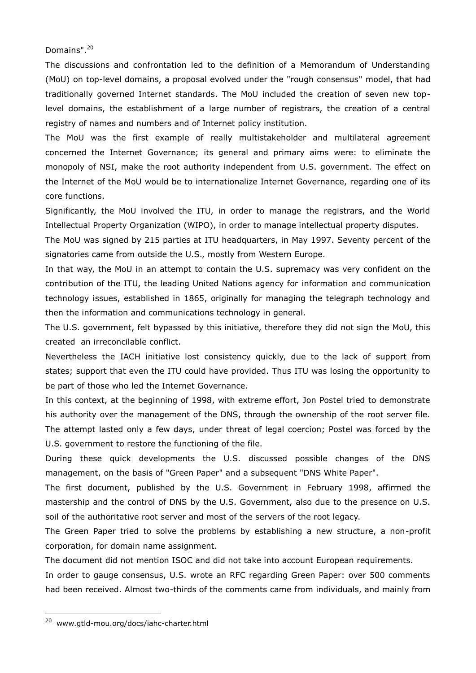#### Domains".<sup>20</sup>

The discussions and confrontation led to the definition of a Memorandum of Understanding (MoU) on top-level domains, a proposal evolved under the "rough consensus" model, that had traditionally governed Internet standards. The MoU included the creation of seven new toplevel domains, the establishment of a large number of registrars, the creation of a central registry of names and numbers and of Internet policy institution.

The MoU was the first example of really multistakeholder and multilateral agreement concerned the Internet Governance; its general and primary aims were: to eliminate the monopoly of NSI, make the root authority independent from U.S. government. The effect on the Internet of the MoU would be to internationalize Internet Governance, regarding one of its core functions.

Significantly, the MoU involved the ITU, in order to manage the registrars, and the World Intellectual Property Organization (WIPO), in order to manage intellectual property disputes.

The MoU was signed by 215 parties at ITU headquarters, in May 1997. Seventy percent of the signatories came from outside the U.S., mostly from Western Europe.

In that way, the MoU in an attempt to contain the U.S. supremacy was very confident on the contribution of the ITU, the leading United Nations agency for information and communication technology issues, established in 1865, originally for managing the telegraph technology and then the information and communications technology in general.

The U.S. government, felt bypassed by this initiative, therefore they did not sign the MoU, this created an irreconcilable conflict.

Nevertheless the IACH initiative lost consistency quickly, due to the lack of support from states; support that even the ITU could have provided. Thus ITU was losing the opportunity to be part of those who led the Internet Governance.

In this context, at the beginning of 1998, with extreme effort, Jon Postel tried to demonstrate his authority over the management of the DNS, through the ownership of the root server file. The attempt lasted only a few days, under threat of legal coercion; Postel was forced by the U.S. government to restore the functioning of the file.

During these quick developments the U.S. discussed possible changes of the DNS management, on the basis of "Green Paper" and a subsequent "DNS White Paper".

The first document, published by the U.S. Government in February 1998, affirmed the mastership and the control of DNS by the U.S. Government, also due to the presence on U.S. soil of the authoritative root server and most of the servers of the root legacy.

The Green Paper tried to solve the problems by establishing a new structure, a non-profit corporation, for domain name assignment.

The document did not mention ISOC and did not take into account European requirements.

In order to gauge consensus, U.S. wrote an RFC regarding Green Paper: over 500 comments had been received. Almost two-thirds of the comments came from individuals, and mainly from

<sup>20</sup> www.gtld-mou.org/docs/iahc-charter.html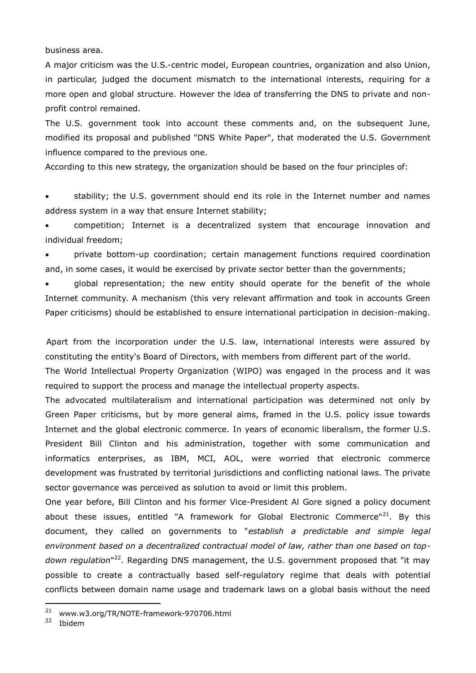business area.

A major criticism was the U.S.-centric model, European countries, organization and also Union, in particular, judged the document mismatch to the international interests, requiring for a more open and global structure. However the idea of transferring the DNS to private and nonprofit control remained.

The U.S. government took into account these comments and, on the subsequent June, modified its proposal and published "DNS White Paper", that moderated the U.S. Government influence compared to the previous one.

According to this new strategy, the organization should be based on the four principles of:

 stability; the U.S. government should end its role in the Internet number and names address system in a way that ensure Internet stability;

 competition; Internet is a decentralized system that encourage innovation and individual freedom;

 private bottom-up coordination; certain management functions required coordination and, in some cases, it would be exercised by private sector better than the governments;

 global representation; the new entity should operate for the benefit of the whole Internet community. A mechanism (this very relevant affirmation and took in accounts Green Paper criticisms) should be established to ensure international participation in decision-making.

Apart from the incorporation under the U.S. law, international interests were assured by constituting the entity's Board of Directors, with members from different part of the world.

The World Intellectual Property Organization (WIPO) was engaged in the process and it was required to support the process and manage the intellectual property aspects.

The advocated multilateralism and international participation was determined not only by Green Paper criticisms, but by more general aims, framed in the U.S. policy issue towards Internet and the global electronic commerce. In years of economic liberalism, the former U.S. President Bill Clinton and his administration, together with some communication and informatics enterprises, as IBM, MCI, AOL, were worried that electronic commerce development was frustrated by territorial jurisdictions and conflicting national laws. The private sector governance was perceived as solution to avoid or limit this problem.

One year before, Bill Clinton and his former Vice-President Al Gore signed a policy document about these issues, entitled "A framework for Global Electronic Commerce"<sup>21</sup>. By this document, they called on governments to "*establish a predictable and simple legal environment based on a decentralized contractual model of law, rather than one based on top*down regulation<sup>"22</sup>. Regarding DNS management, the U.S. government proposed that "it may possible to create a contractually based self-regulatory regime that deals with potential conflicts between domain name usage and trademark laws on a global basis without the need

<sup>22</sup> Ibidem

<sup>21</sup> www.w3.org/TR/NOTE-framework-970706.html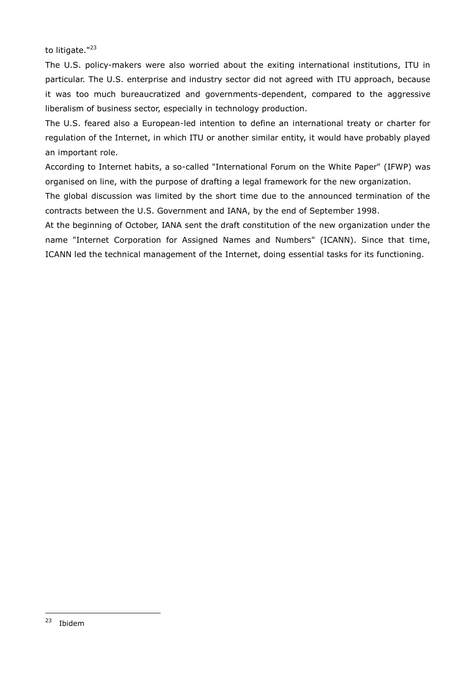to litigate."<sup>23</sup>

The U.S. policy-makers were also worried about the exiting international institutions, ITU in particular. The U.S. enterprise and industry sector did not agreed with ITU approach, because it was too much bureaucratized and governments-dependent, compared to the aggressive liberalism of business sector, especially in technology production.

The U.S. feared also a European-led intention to define an international treaty or charter for regulation of the Internet, in which ITU or another similar entity, it would have probably played an important role.

According to Internet habits, a so-called "International Forum on the White Paper" (IFWP) was organised on line, with the purpose of drafting a legal framework for the new organization.

The global discussion was limited by the short time due to the announced termination of the contracts between the U.S. Government and IANA, by the end of September 1998.

At the beginning of October, IANA sent the draft constitution of the new organization under the name "Internet Corporation for Assigned Names and Numbers" (ICANN). Since that time, ICANN led the technical management of the Internet, doing essential tasks for its functioning.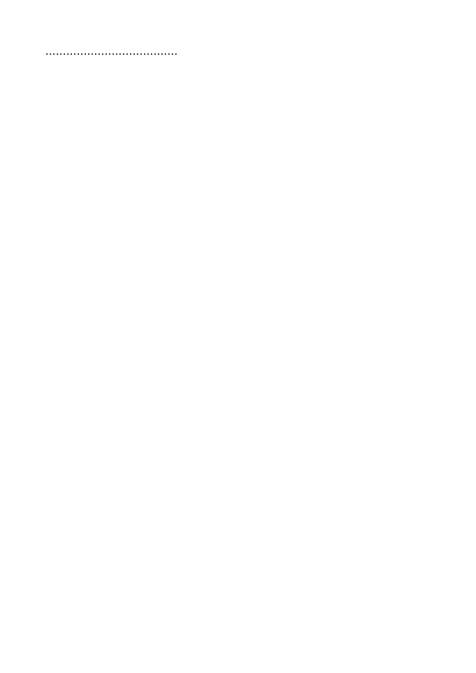......................................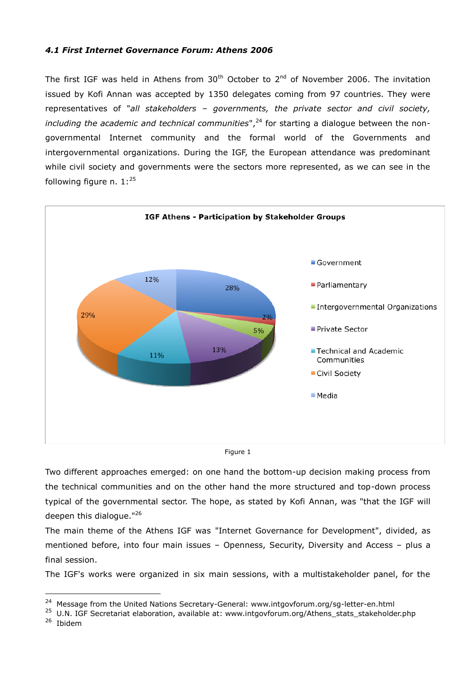### *4.1 First Internet Governance Forum: Athens 2006*

The first IGF was held in Athens from  $30<sup>th</sup>$  October to  $2<sup>nd</sup>$  of November 2006. The invitation issued by Kofi Annan was accepted by 1350 delegates coming from 97 countries. They were representatives of "*all stakeholders – governments, the private sector and civil society, including the academic and technical communities*",<sup>24</sup> for starting a dialogue between the nongovernmental Internet community and the formal world of the Governments and intergovernmental organizations. During the IGF, the European attendance was predominant while civil society and governments were the sectors more represented, as we can see in the following figure n.  $1:^{25}$ 





Two different approaches emerged: on one hand the bottom-up decision making process from the technical communities and on the other hand the more structured and top-down process typical of the governmental sector. The hope, as stated by Kofi Annan, was "that the IGF will deepen this dialogue."<sup>26</sup>

The main theme of the Athens IGF was "Internet Governance for Development", divided, as mentioned before, into four main issues – Openness, Security, Diversity and Access – plus a final session.

The IGF's works were organized in six main sessions, with a multistakeholder panel, for the

<sup>&</sup>lt;sup>24</sup> Message from the United Nations Secretary-General: www.intgovforum.org/sg-letter-en.html

<sup>&</sup>lt;sup>25</sup> U.N. IGF Secretariat elaboration, available at: www.intgovforum.org/Athens\_stats\_stakeholder.php <sup>26</sup> Ibidem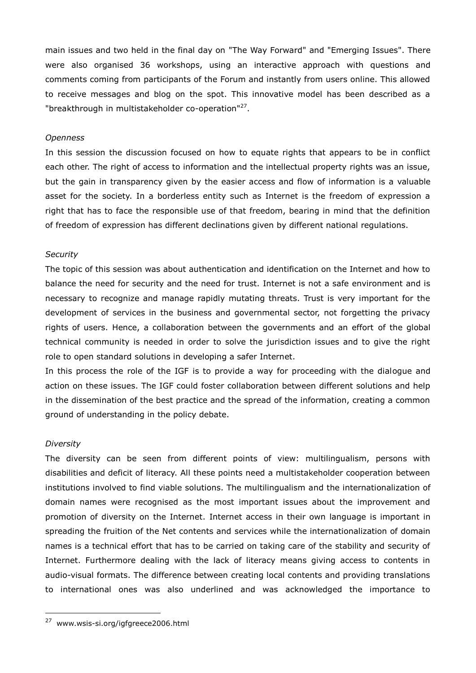main issues and two held in the final day on "The Way Forward" and "Emerging Issues". There were also organised 36 workshops, using an interactive approach with questions and comments coming from participants of the Forum and instantly from users online. This allowed to receive messages and blog on the spot. This innovative model has been described as a "breakthrough in multistakeholder co-operation"<sup>27</sup>.

### *Openness*

In this session the discussion focused on how to equate rights that appears to be in conflict each other. The right of access to information and the intellectual property rights was an issue, but the gain in transparency given by the easier access and flow of information is a valuable asset for the society. In a borderless entity such as Internet is the freedom of expression a right that has to face the responsible use of that freedom, bearing in mind that the definition of freedom of expression has different declinations given by different national regulations.

#### *Security*

The topic of this session was about authentication and identification on the Internet and how to balance the need for security and the need for trust. Internet is not a safe environment and is necessary to recognize and manage rapidly mutating threats. Trust is very important for the development of services in the business and governmental sector, not forgetting the privacy rights of users. Hence, a collaboration between the governments and an effort of the global technical community is needed in order to solve the jurisdiction issues and to give the right role to open standard solutions in developing a safer Internet.

In this process the role of the IGF is to provide a way for proceeding with the dialogue and action on these issues. The IGF could foster collaboration between different solutions and help in the dissemination of the best practice and the spread of the information, creating a common ground of understanding in the policy debate.

#### *Diversity*

-

The diversity can be seen from different points of view: multilingualism, persons with disabilities and deficit of literacy. All these points need a multistakeholder cooperation between institutions involved to find viable solutions. The multilingualism and the internationalization of domain names were recognised as the most important issues about the improvement and promotion of diversity on the Internet. Internet access in their own language is important in spreading the fruition of the Net contents and services while the internationalization of domain names is a technical effort that has to be carried on taking care of the stability and security of Internet. Furthermore dealing with the lack of literacy means giving access to contents in audio-visual formats. The difference between creating local contents and providing translations to international ones was also underlined and was acknowledged the importance to

<sup>27</sup> www.wsis-si.org/igfgreece2006.html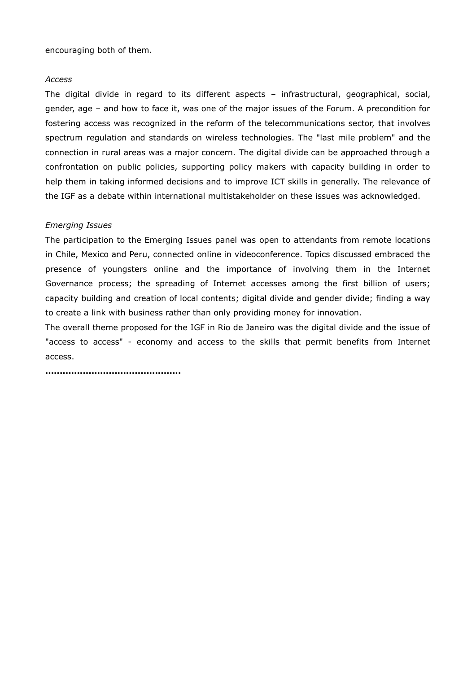encouraging both of them.

#### *Access*

The digital divide in regard to its different aspects – infrastructural, geographical, social, gender, age – and how to face it, was one of the major issues of the Forum. A precondition for fostering access was recognized in the reform of the telecommunications sector, that involves spectrum regulation and standards on wireless technologies. The "last mile problem" and the connection in rural areas was a major concern. The digital divide can be approached through a confrontation on public policies, supporting policy makers with capacity building in order to help them in taking informed decisions and to improve ICT skills in generally. The relevance of the IGF as a debate within international multistakeholder on these issues was acknowledged.

### *Emerging Issues*

The participation to the Emerging Issues panel was open to attendants from remote locations in Chile, Mexico and Peru, connected online in videoconference. Topics discussed embraced the presence of youngsters online and the importance of involving them in the Internet Governance process; the spreading of Internet accesses among the first billion of users; capacity building and creation of local contents; digital divide and gender divide; finding a way to create a link with business rather than only providing money for innovation.

The overall theme proposed for the IGF in Rio de Janeiro was the digital divide and the issue of "access to access" - economy and access to the skills that permit benefits from Internet access.

**...............................................**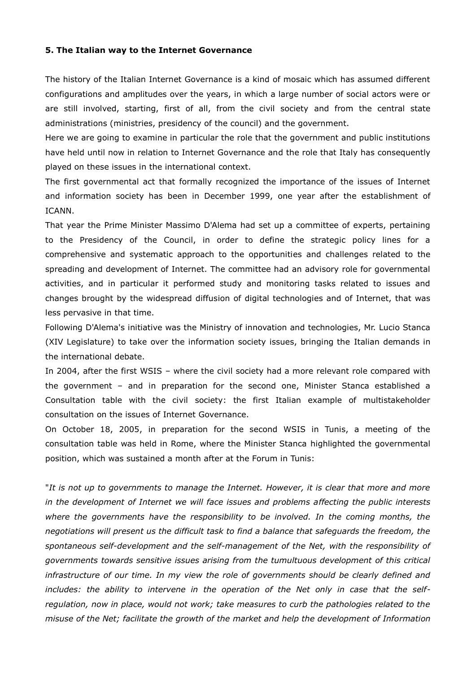#### **5. The Italian way to the Internet Governance**

The history of the Italian Internet Governance is a kind of mosaic which has assumed different configurations and amplitudes over the years, in which a large number of social actors were or are still involved, starting, first of all, from the civil society and from the central state administrations (ministries, presidency of the council) and the government.

Here we are going to examine in particular the role that the government and public institutions have held until now in relation to Internet Governance and the role that Italy has consequently played on these issues in the international context.

The first governmental act that formally recognized the importance of the issues of Internet and information society has been in December 1999, one year after the establishment of ICANN.

That year the Prime Minister Massimo D'Alema had set up a committee of experts, pertaining to the Presidency of the Council, in order to define the strategic policy lines for a comprehensive and systematic approach to the opportunities and challenges related to the spreading and development of Internet. The committee had an advisory role for governmental activities, and in particular it performed study and monitoring tasks related to issues and changes brought by the widespread diffusion of digital technologies and of Internet, that was less pervasive in that time.

Following D'Alema's initiative was the Ministry of innovation and technologies, Mr. Lucio Stanca (XIV Legislature) to take over the information society issues, bringing the Italian demands in the international debate.

In 2004, after the first WSIS – where the civil society had a more relevant role compared with the government – and in preparation for the second one, Minister Stanca established a Consultation table with the civil society: the first Italian example of multistakeholder consultation on the issues of Internet Governance.

On October 18, 2005, in preparation for the second WSIS in Tunis, a meeting of the consultation table was held in Rome, where the Minister Stanca highlighted the governmental position, which was sustained a month after at the Forum in Tunis:

"*It is not up to governments to manage the Internet. However, it is clear that more and more in the development of Internet we will face issues and problems affecting the public interests where the governments have the responsibility to be involved. In the coming months, the negotiations will present us the difficult task to find a balance that safeguards the freedom, the spontaneous self-development and the self-management of the Net, with the responsibility of governments towards sensitive issues arising from the tumultuous development of this critical infrastructure of our time. In my view the role of governments should be clearly defined and includes: the ability to intervene in the operation of the Net only in case that the selfregulation, now in place, would not work; take measures to curb the pathologies related to the misuse of the Net; facilitate the growth of the market and help the development of Information*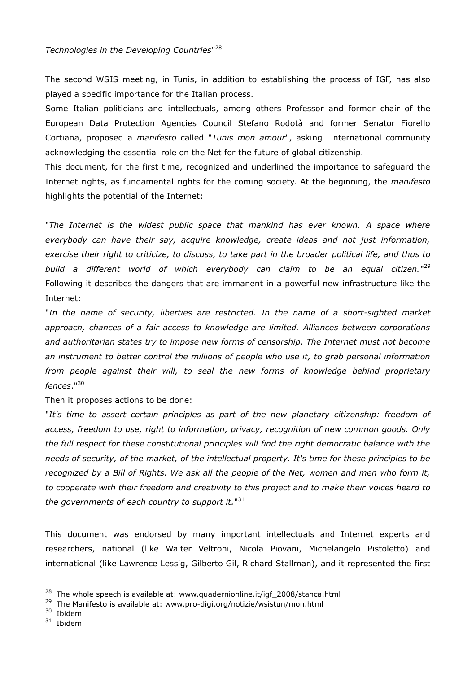### *Technologies in the Developing Countries*" 28

The second WSIS meeting, in Tunis, in addition to establishing the process of IGF, has also played a specific importance for the Italian process.

Some Italian politicians and intellectuals, among others Professor and former chair of the European Data Protection Agencies Council Stefano Rodotà and former Senator Fiorello Cortiana, proposed a *manifesto* called "*Tunis mon amour*", asking international community acknowledging the essential role on the Net for the future of global citizenship.

This document, for the first time, recognized and underlined the importance to safeguard the Internet rights, as fundamental rights for the coming society. At the beginning, the *manifesto* highlights the potential of the Internet:

"*The Internet is the widest public space that mankind has ever known. A space where everybody can have their say, acquire knowledge, create ideas and not just information, exercise their right to criticize, to discuss, to take part in the broader political life, and thus to build a different world of which everybody can claim to be an equal citizen.*" 29 Following it describes the dangers that are immanent in a powerful new infrastructure like the Internet:

"*In the name of security, liberties are restricted. In the name of a short-sighted market approach, chances of a fair access to knowledge are limited. Alliances between corporations and authoritarian states try to impose new forms of censorship. The Internet must not become an instrument to better control the millions of people who use it, to grab personal information from people against their will, to seal the new forms of knowledge behind proprietary fences*."<sup>30</sup>

Then it proposes actions to be done:

"*It's time to assert certain principles as part of the new planetary citizenship: freedom of access, freedom to use, right to information, privacy, recognition of new common goods. Only the full respect for these constitutional principles will find the right democratic balance with the needs of security, of the market, of the intellectual property. It's time for these principles to be recognized by a Bill of Rights. We ask all the people of the Net, women and men who form it, to cooperate with their freedom and creativity to this project and to make their voices heard to the governments of each country to support it.*" 31

This document was endorsed by many important intellectuals and Internet experts and researchers, national (like Walter Veltroni, Nicola Piovani, Michelangelo Pistoletto) and international (like Lawrence Lessig, Gilberto Gil, Richard Stallman), and it represented the first

 $^{28}$  The whole speech is available at: www.quadernionline.it/igf\_2008/stanca.html

<sup>&</sup>lt;sup>29</sup> The Manifesto is available at: www.pro-digi.org/notizie/wsistun/mon.html

<sup>30</sup> Ibidem

<sup>31</sup> Ibidem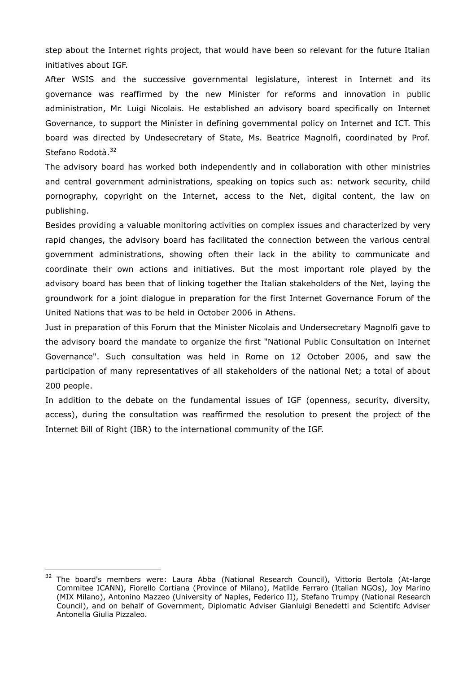step about the Internet rights project, that would have been so relevant for the future Italian initiatives about IGF.

After WSIS and the successive governmental legislature, interest in Internet and its governance was reaffirmed by the new Minister for reforms and innovation in public administration, Mr. Luigi Nicolais. He established an advisory board specifically on Internet Governance, to support the Minister in defining governmental policy on Internet and ICT. This board was directed by Undesecretary of State, Ms. Beatrice Magnolfi, coordinated by Prof. Stefano Rodotà.<sup>32</sup>

The advisory board has worked both independently and in collaboration with other ministries and central government administrations, speaking on topics such as: network security, child pornography, copyright on the Internet, access to the Net, digital content, the law on publishing.

Besides providing a valuable monitoring activities on complex issues and characterized by very rapid changes, the advisory board has facilitated the connection between the various central government administrations, showing often their lack in the ability to communicate and coordinate their own actions and initiatives. But the most important role played by the advisory board has been that of linking together the Italian stakeholders of the Net, laying the groundwork for a joint dialogue in preparation for the first Internet Governance Forum of the United Nations that was to be held in October 2006 in Athens.

Just in preparation of this Forum that the Minister Nicolais and Undersecretary Magnolfi gave to the advisory board the mandate to organize the first "National Public Consultation on Internet Governance". Such consultation was held in Rome on 12 October 2006, and saw the participation of many representatives of all stakeholders of the national Net; a total of about 200 people.

In addition to the debate on the fundamental issues of IGF (openness, security, diversity, access), during the consultation was reaffirmed the resolution to present the project of the Internet Bill of Right (IBR) to the international community of the IGF.

<sup>&</sup>lt;sup>32</sup> The board's members were: Laura Abba (National Research Council), Vittorio Bertola (At-large Commitee ICANN), Fiorello Cortiana (Province of Milano), Matilde Ferraro (Italian NGOs), Joy Marino (MIX Milano), Antonino Mazzeo (University of Naples, Federico II), Stefano Trumpy (National Research Council), and on behalf of Government, Diplomatic Adviser Gianluigi Benedetti and Scientifc Adviser Antonella Giulia Pizzaleo.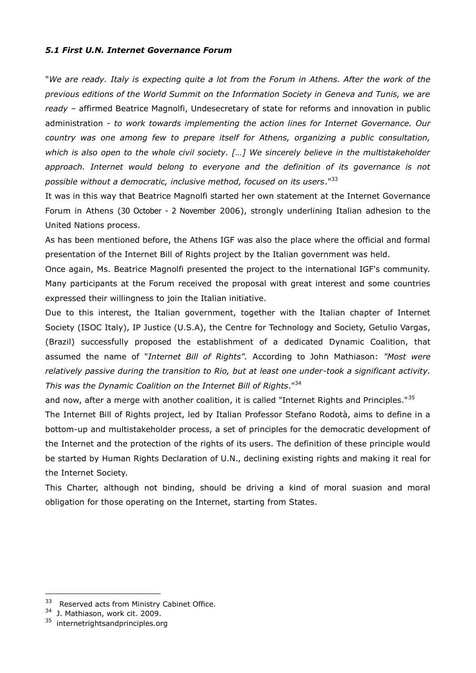### *5.1 First U.N. Internet Governance Forum*

"*We are ready. Italy is expecting quite a lot from the Forum in Athens. After the work of the previous editions of the World Summit on the Information Society in Geneva and Tunis, we are ready –* affirmed Beatrice Magnolfi, Undesecretary of state for reforms and innovation in public administration - *to work towards implementing the action lines for Internet Governance. Our country was one among few to prepare itself for Athens, organizing a public consultation, which is also open to the whole civil society. […] We sincerely believe in the multistakeholder*  approach. Internet would belong to everyone and the definition of its governance is not *possible without a democratic, inclusive method, focused on its users*."<sup>33</sup>

It was in this way that Beatrice Magnolfi started her own statement at the Internet Governance Forum in Athens (30 October - 2 November 2006), strongly underlining Italian adhesion to the United Nations process.

As has been mentioned before, the Athens IGF was also the place where the official and formal presentation of the Internet Bill of Rights project by the Italian government was held.

Once again, Ms. Beatrice Magnolfi presented the project to the international IGF's community. Many participants at the Forum received the proposal with great interest and some countries expressed their willingness to join the Italian initiative.

Due to this interest, the Italian government, together with the Italian chapter of Internet Society (ISOC Italy), IP Justice (U.S.A), the Centre for Technology and Society, Getulio Vargas, (Brazil) successfully proposed the establishment of a dedicated Dynamic Coalition, that assumed the name of "*Internet Bill of Rights".* According to John Mathiason: *"Most were relatively passive during the transition to Rio, but at least one under-took a significant activity. This was the Dynamic Coalition on the Internet Bill of Rights*."<sup>34</sup>

and now, after a merge with another coalition, it is called "Internet Rights and Principles."<sup>35</sup>

The Internet Bill of Rights project, led by Italian Professor Stefano Rodotà, aims to define in a bottom-up and multistakeholder process, a set of principles for the democratic development of the Internet and the protection of the rights of its users. The definition of these principle would be started by Human Rights Declaration of U.N., declining existing rights and making it real for the Internet Society.

This Charter, although not binding, should be driving a kind of moral suasion and moral obligation for those operating on the Internet, starting from States.

<sup>33</sup> Reserved acts from Ministry Cabinet Office.

<sup>&</sup>lt;sup>34</sup> J. Mathiason, work cit. 2009.

<sup>&</sup>lt;sup>35</sup> internetrightsandprinciples.org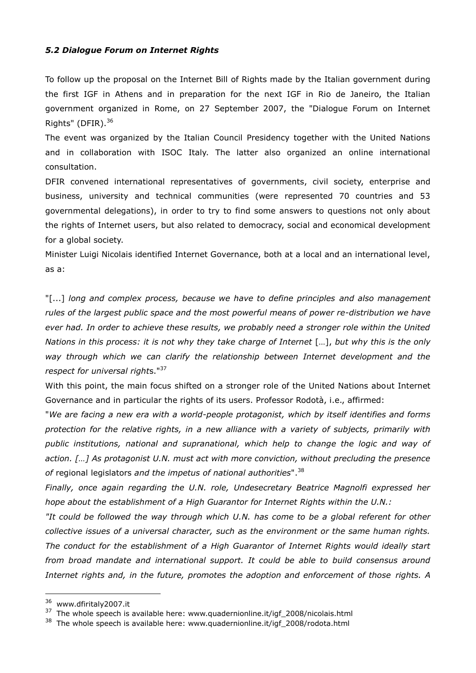### *5.2 Dialogue Forum on Internet Rights*

To follow up the proposal on the Internet Bill of Rights made by the Italian government during the first IGF in Athens and in preparation for the next IGF in Rio de Janeiro, the Italian government organized in Rome, on 27 September 2007, the "Dialogue Forum on Internet Rights" (DFIR).<sup>36</sup>

The event was organized by the Italian Council Presidency together with the United Nations and in collaboration with ISOC Italy. The latter also organized an online international consultation.

DFIR convened international representatives of governments, civil society, enterprise and business, university and technical communities (were represented 70 countries and 53 governmental delegations), in order to try to find some answers to questions not only about the rights of Internet users, but also related to democracy, social and economical development for a global society.

Minister Luigi Nicolais identified Internet Governance, both at a local and an international level, as a:

"[...] *long and complex process, because we have to define principles and also management rules of the largest public space and the most powerful means of power re-distribution we have ever had. In order to achieve these results, we probably need a stronger role within the United Nations in this process: it is not why they take charge of Internet* […], *but why this is the only way through which we can clarify the relationship between Internet development and the respect for universal right*s."<sup>37</sup>

With this point, the main focus shifted on a stronger role of the United Nations about Internet Governance and in particular the rights of its users. Professor Rodotà, i.e., affirmed:

"*We are facing a new era with a world-people protagonist, which by itself identifies and forms protection for the relative rights, in a new alliance with a variety of subjects, primarily with public institutions, national and supranational, which help to change the logic and way of action. […] As protagonist U.N. must act with more conviction, without precluding the presence of* regional legislators *and the impetus of national authorities*".<sup>38</sup>

*Finally, once again regarding the U.N. role, Undesecretary Beatrice Magnolfi expressed her hope about the establishment of a High Guarantor for Internet Rights within the U.N.:*

*"It could be followed the way through which U.N. has come to be a global referent for other collective issues of a universal character, such as the environment or the same human rights. The conduct for the establishment of a High Guarantor of Internet Rights would ideally start from broad mandate and international support. It could be able to build consensus around Internet rights and, in the future, promotes the adoption and enforcement of those rights. A* 

<sup>36</sup> www.dfiritaly2007.it

 $37$  The whole speech is available here: www.quadernionline.it/igf\_2008/nicolais.html

 $38$  The whole speech is available here: www.quadernionline.it/igf\_2008/rodota.html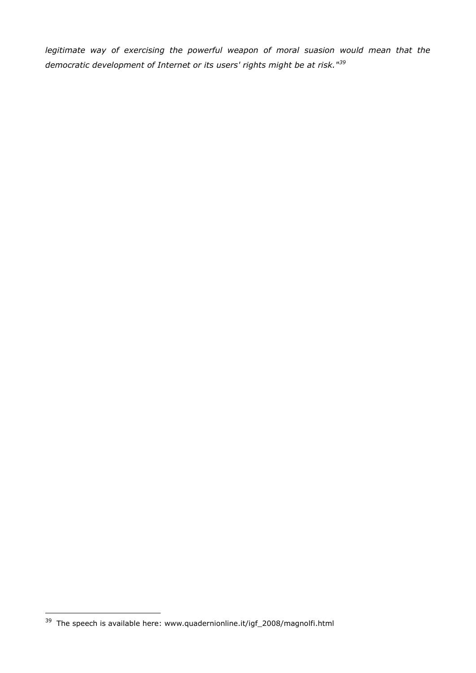legitimate way of exercising the powerful weapon of moral suasion would mean that the *democratic development of Internet or its users' rights might be at risk."<sup>39</sup>*

 $39$  The speech is available here: www.quadernionline.it/igf\_2008/magnolfi.html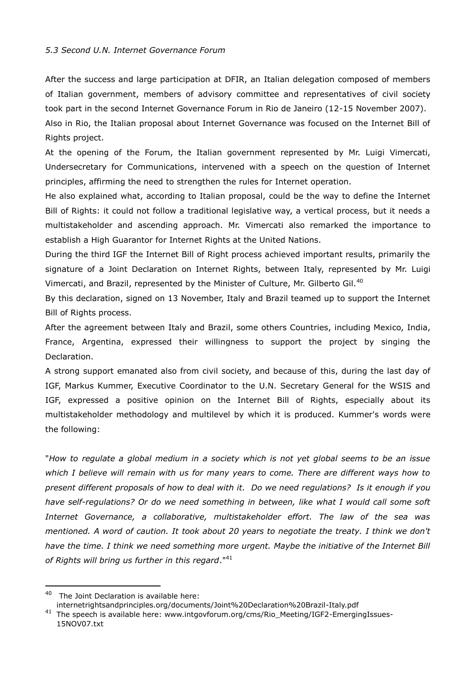### *5.3 Second U.N. Internet Governance Forum*

After the success and large participation at DFIR, an Italian delegation composed of members of Italian government, members of advisory committee and representatives of civil society took part in the second Internet Governance Forum in Rio de Janeiro (12-15 November 2007). Also in Rio, the Italian proposal about Internet Governance was focused on the Internet Bill of Rights project.

At the opening of the Forum, the Italian government represented by Mr. Luigi Vimercati, Undersecretary for Communications, intervened with a speech on the question of Internet principles, affirming the need to strengthen the rules for Internet operation.

He also explained what, according to Italian proposal, could be the way to define the Internet Bill of Rights: it could not follow a traditional legislative way, a vertical process, but it needs a multistakeholder and ascending approach. Mr. Vimercati also remarked the importance to establish a High Guarantor for Internet Rights at the United Nations.

During the third IGF the Internet Bill of Right process achieved important results, primarily the signature of a Joint Declaration on Internet Rights, between Italy, represented by Mr. Luigi Vimercati, and Brazil, represented by the Minister of Culture, Mr. Gilberto Gil.<sup>40</sup>

By this declaration, signed on 13 November, Italy and Brazil teamed up to support the Internet Bill of Rights process.

After the agreement between Italy and Brazil, some others Countries, including Mexico, India, France, Argentina, expressed their willingness to support the project by singing the Declaration.

A strong support emanated also from civil society, and because of this, during the last day of IGF, Markus Kummer, Executive Coordinator to the U.N. Secretary General for the WSIS and IGF, expressed a positive opinion on the Internet Bill of Rights, especially about its multistakeholder methodology and multilevel by which it is produced. Kummer's words were the following:

"*How to regulate a global medium in a society which is not yet global seems to be an issue which I believe will remain with us for many years to come. There are different ways how to present different proposals of how to deal with it. Do we need regulations? Is it enough if you have self-regulations? Or do we need something in between, like what I would call some soft Internet Governance, a collaborative, multistakeholder effort. The law of the sea was mentioned. A word of caution. It took about 20 years to negotiate the treaty. I think we don't have the time. I think we need something more urgent. Maybe the initiative of the Internet Bill of Rights will bring us further in this regard*."<sup>41</sup>

<sup>40</sup> The Joint Declaration is available here:

internetrightsandprinciples.org/documents/Joint%20Declaration%20Brazil-Italy.pdf

<sup>&</sup>lt;sup>41</sup> The speech is available here: www.intgovforum.org/cms/Rio\_Meeting/IGF2-EmergingIssues-15NOV07.txt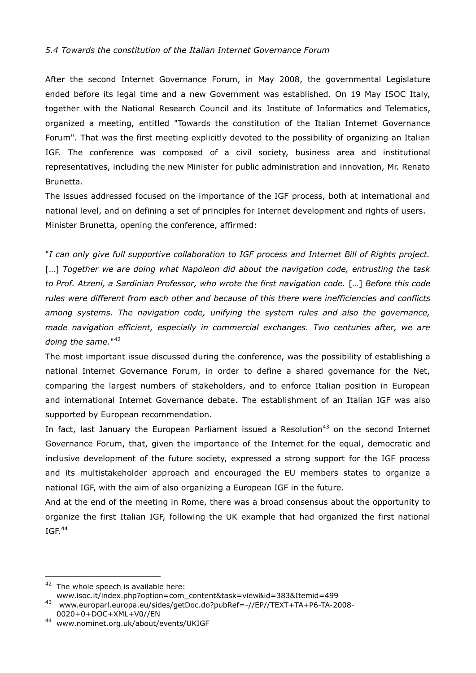### *5.4 Towards the constitution of the Italian Internet Governance Forum*

After the second Internet Governance Forum, in May 2008, the governmental Legislature ended before its legal time and a new Government was established. On 19 May ISOC Italy, together with the National Research Council and its Institute of Informatics and Telematics, organized a meeting, entitled "Towards the constitution of the Italian Internet Governance Forum". That was the first meeting explicitly devoted to the possibility of organizing an Italian IGF. The conference was composed of a civil society, business area and institutional representatives, including the new Minister for public administration and innovation, Mr. Renato Brunetta.

The issues addressed focused on the importance of the IGF process, both at international and national level, and on defining a set of principles for Internet development and rights of users. Minister Brunetta, opening the conference, affirmed:

"*I can only give full supportive collaboration to IGF process and Internet Bill of Rights project.* [...] *Together we are doing what Napoleon did about the navigation code, entrusting the task to Prof. Atzeni, a Sardinian Professor, who wrote the first navigation code.* […] *Before this code rules were different from each other and because of this there were inefficiencies and conflicts among systems. The navigation code, unifying the system rules and also the governance, made navigation efficient, especially in commercial exchanges. Two centuries after, we are doing the same.*" 42

The most important issue discussed during the conference, was the possibility of establishing a national Internet Governance Forum, in order to define a shared governance for the Net, comparing the largest numbers of stakeholders, and to enforce Italian position in European and international Internet Governance debate. The establishment of an Italian IGF was also supported by European recommendation.

In fact, last January the European Parliament issued a Resolution<sup>43</sup> on the second Internet Governance Forum, that, given the importance of the Internet for the equal, democratic and inclusive development of the future society, expressed a strong support for the IGF process and its multistakeholder approach and encouraged the EU members states to organize a national IGF, with the aim of also organizing a European IGF in the future.

And at the end of the meeting in Rome, there was a broad consensus about the opportunity to organize the first Italian IGF, following the UK example that had organized the first national  $IGF<sub>144</sub>$ 

 $42$  The whole speech is available here: www.isoc.it/index.php?option=com\_content&task=view&id=383&Itemid=499

<sup>43</sup> www.europarl.europa.eu/sides/getDoc.do?pubRef=-//EP//TEXT+TA+P6-TA-2008- 0020+0+DOC+XML+V0//EN

<sup>44</sup> www.nominet.org.uk/about/events/UKIGF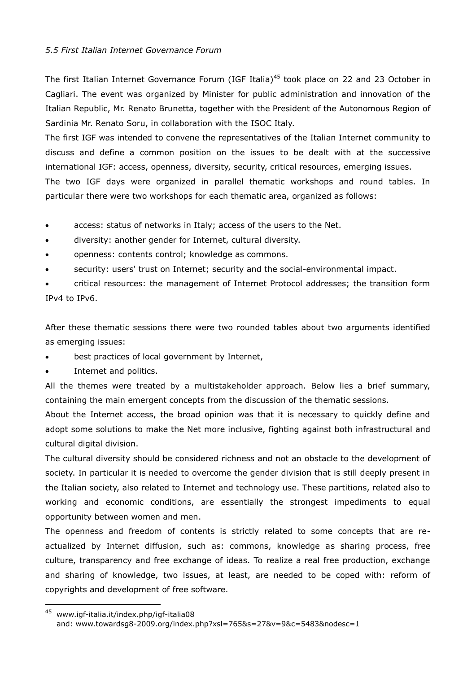### *5.5 First Italian Internet Governance Forum*

The first Italian Internet Governance Forum (IGF Italia)<sup>45</sup> took place on 22 and 23 October in Cagliari. The event was organized by Minister for public administration and innovation of the Italian Republic, Mr. Renato Brunetta, together with the President of the Autonomous Region of Sardinia Mr. Renato Soru, in collaboration with the ISOC Italy.

The first IGF was intended to convene the representatives of the Italian Internet community to discuss and define a common position on the issues to be dealt with at the successive international IGF: access, openness, diversity, security, critical resources, emerging issues. The two IGF days were organized in parallel thematic workshops and round tables. In particular there were two workshops for each thematic area, organized as follows:

access: status of networks in Italy; access of the users to the Net.

diversity: another gender for Internet, cultural diversity.

openness: contents control; knowledge as commons.

security: users' trust on Internet; security and the social-environmental impact.

 critical resources: the management of Internet Protocol addresses; the transition form IPv4 to IPv6.

After these thematic sessions there were two rounded tables about two arguments identified as emerging issues:

best practices of local government by Internet,

Internet and politics.

-

All the themes were treated by a multistakeholder approach. Below lies a brief summary, containing the main emergent concepts from the discussion of the thematic sessions.

About the Internet access, the broad opinion was that it is necessary to quickly define and adopt some solutions to make the Net more inclusive, fighting against both infrastructural and cultural digital division.

The cultural diversity should be considered richness and not an obstacle to the development of society. In particular it is needed to overcome the gender division that is still deeply present in the Italian society, also related to Internet and technology use. These partitions, related also to working and economic conditions, are essentially the strongest impediments to equal opportunity between women and men.

The openness and freedom of contents is strictly related to some concepts that are reactualized by Internet diffusion, such as: commons, knowledge as sharing process, free culture, transparency and free exchange of ideas. To realize a real free production, exchange and sharing of knowledge, two issues, at least, are needed to be coped with: reform of copyrights and development of free software.

<sup>45</sup> www.igf-italia.it/index.php/igf-italia08 and: www.towardsg8-2009.org/index.php?xsl=765&s=27&v=9&c=5483&nodesc=1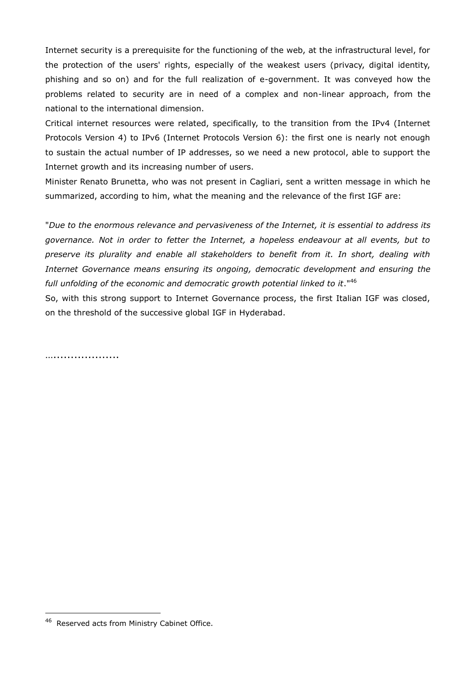Internet security is a prerequisite for the functioning of the web, at the infrastructural level, for the protection of the users' rights, especially of the weakest users (privacy, digital identity, phishing and so on) and for the full realization of e-government. It was conveyed how the problems related to security are in need of a complex and non-linear approach, from the national to the international dimension.

Critical internet resources were related, specifically, to the transition from the IPv4 (Internet Protocols Version 4) to IPv6 (Internet Protocols Version 6): the first one is nearly not enough to sustain the actual number of IP addresses, so we need a new protocol, able to support the Internet growth and its increasing number of users.

Minister Renato Brunetta, who was not present in Cagliari, sent a written message in which he summarized, according to him, what the meaning and the relevance of the first IGF are:

"*Due to the enormous relevance and pervasiveness of the Internet, it is essential to address its governance. Not in order to fetter the Internet, a hopeless endeavour at all events, but to preserve its plurality and enable all stakeholders to benefit from it. In short, dealing with Internet Governance means ensuring its ongoing, democratic development and ensuring the*  full unfolding of the economic and democratic growth potential linked to it."<sup>46</sup>

So, with this strong support to Internet Governance process, the first Italian IGF was closed, on the threshold of the successive global IGF in Hyderabad.

…...................

<sup>46</sup> Reserved acts from Ministry Cabinet Office.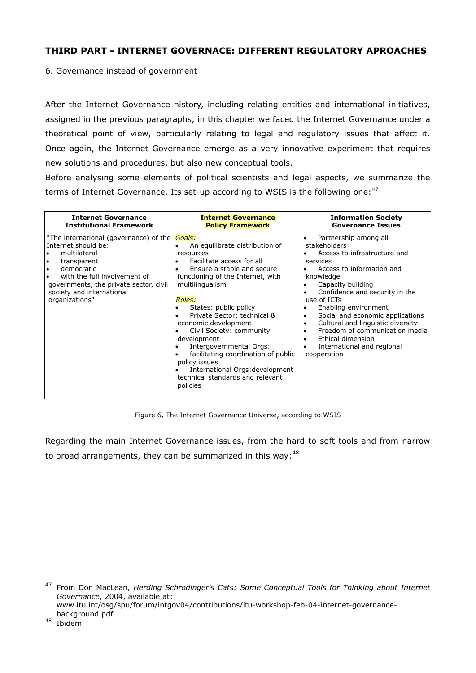# **THIRD PART - INTERNET GOVERNACE: DIFFERENT REGULATORY APROACHES**

6. Governance instead of government

After the Internet Governance history, including relating entities and international initiatives, assigned in the previous paragraphs, in this chapter we faced the Internet Governance under a theoretical point of view, particularly relating to legal and regulatory issues that affect it. Once again, the Internet Governance emerge as a very innovative experiment that requires new solutions and procedures, but also new conceptual tools.

Before analysing some elements of political scientists and legal aspects, we summarize the terms of Internet Governance. Its set-up according to WSIS is the following one:<sup>47</sup>

| <b>Internet Governance</b>                                                                                                                                                                                                                 | <b>Internet Governance</b>                                                                                                                                                                                                                                                                                                                                                                                                                                                                                                   | <b>Information Society</b>                                                                                                                                                                                                                                                                                                                                                                                                                                                   |
|--------------------------------------------------------------------------------------------------------------------------------------------------------------------------------------------------------------------------------------------|------------------------------------------------------------------------------------------------------------------------------------------------------------------------------------------------------------------------------------------------------------------------------------------------------------------------------------------------------------------------------------------------------------------------------------------------------------------------------------------------------------------------------|------------------------------------------------------------------------------------------------------------------------------------------------------------------------------------------------------------------------------------------------------------------------------------------------------------------------------------------------------------------------------------------------------------------------------------------------------------------------------|
| <b>Institutional Framework</b>                                                                                                                                                                                                             | <b>Policy Framework</b>                                                                                                                                                                                                                                                                                                                                                                                                                                                                                                      | <b>Governance Issues</b>                                                                                                                                                                                                                                                                                                                                                                                                                                                     |
| "The international (governance) of the Goals:<br>Internet should be:<br>multilateral<br>transparent<br>democratic<br>with the full involvement of<br>governments, the private sector, civil<br>society and international<br>organizations" | An equilibrate distribution of<br>$\bullet$<br>resources<br>Facilitate access for all<br>Ensure a stable and secure<br>functioning of the Internet, with<br>multilingualism<br><b>Roles:</b><br>States: public policy<br>Private Sector: technical &<br>$\bullet$<br>economic development<br>Civil Society: community<br>٠<br>development<br>Intergovernmental Orgs:<br>facilitating coordination of public<br>$\bullet$<br>policy issues<br>International Orgs: development<br>technical standards and relevant<br>policies | Partnership among all<br>$\bullet$<br>stakeholders<br>Access to infrastructure and<br>services<br>Access to information and<br>knowledge<br>Capacity building<br>Confidence and security in the<br>use of ICTs<br>Enabling environment<br>Social and economic applications<br>$\bullet$<br>Cultural and linguistic diversity<br>$\bullet$<br>Freedom of communication media<br>$\bullet$<br>Ethical dimension<br>$\bullet$<br>International and regional<br>٠<br>cooperation |

Figure 6, The Internet Governance Universe, according to WSIS

Regarding the main Internet Governance issues, from the hard to soft tools and from narrow to broad arrangements, they can be summarized in this way:<sup>48</sup>

<sup>47</sup> From Don MacLean, *Herding Schrodinger's Cats: Some Conceptual Tools for Thinking about Internet Governance*, 2004, available at: www.itu.int/osg/spu/forum/intgov04/contributions/itu-workshop-feb-04-internet-governancebackground.pdf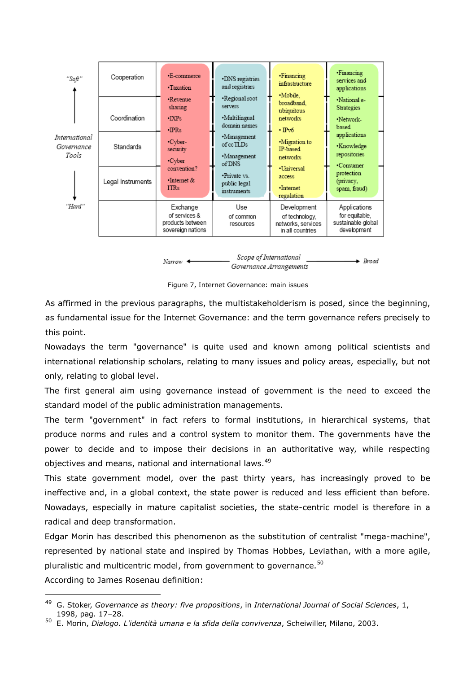

Figure 7, Internet Governance: main issues

As affirmed in the previous paragraphs, the multistakeholderism is posed, since the beginning, as fundamental issue for the Internet Governance: and the term governance refers precisely to this point.

Nowadays the term "governance" is quite used and known among political scientists and international relationship scholars, relating to many issues and policy areas, especially, but not only, relating to global level.

The first general aim using governance instead of government is the need to exceed the standard model of the public administration managements.

The term "government" in fact refers to formal institutions, in hierarchical systems, that produce norms and rules and a control system to monitor them. The governments have the power to decide and to impose their decisions in an authoritative way, while respecting objectives and means, national and international laws.<sup>49</sup>

This state government model, over the past thirty years, has increasingly proved to be ineffective and, in a global context, the state power is reduced and less efficient than before. Nowadays, especially in mature capitalist societies, the state-centric model is therefore in a radical and deep transformation.

Edgar Morin has described this phenomenon as the substitution of centralist "mega-machine", represented by national state and inspired by Thomas Hobbes, Leviathan, with a more agile, pluralistic and multicentric model, from government to governance.<sup>50</sup>

According to James Rosenau definition:

<sup>49</sup> G. Stoker, *Governance as theory: five propositions*, in *International Journal of Social Sciences*, 1, 1998, pag. 17–28.

<sup>50</sup> E. Morin, *Dialogo. L'identità umana e la sfida della convivenza*, Scheiwiller, Milano, 2003.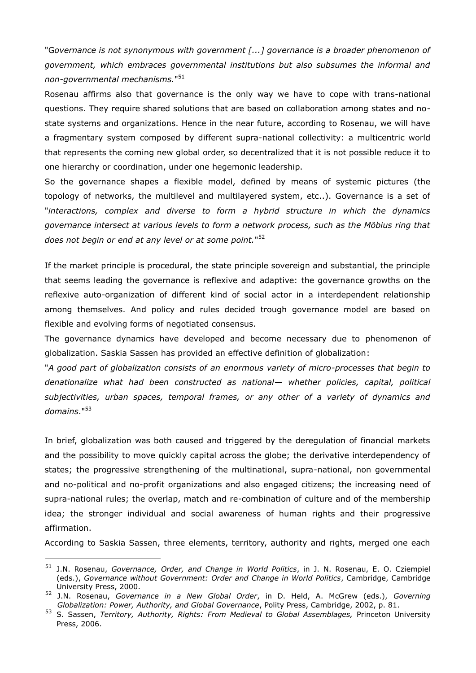"G*overnance is not synonymous with government [...] governance is a broader phenomenon of government, which embraces governmental institutions but also subsumes the informal and non-governmental mechanisms.*" 51

Rosenau affirms also that governance is the only way we have to cope with trans-national questions. They require shared solutions that are based on collaboration among states and nostate systems and organizations. Hence in the near future, according to Rosenau, we will have a fragmentary system composed by different supra-national collectivity: a multicentric world that represents the coming new global order, so decentralized that it is not possible reduce it to one hierarchy or coordination, under one hegemonic leadership.

So the governance shapes a flexible model, defined by means of systemic pictures (the topology of networks, the multilevel and multilayered system, etc..). Governance is a set of "*interactions, complex and diverse to form a hybrid structure in which the dynamics governance intersect at various levels to form a network process, such as the Möbius ring that does not begin or end at any level or at some point.*" 52

If the market principle is procedural, the state principle sovereign and substantial, the principle that seems leading the governance is reflexive and adaptive: the governance growths on the reflexive auto-organization of different kind of social actor in a interdependent relationship among themselves. And policy and rules decided trough governance model are based on flexible and evolving forms of negotiated consensus.

The governance dynamics have developed and become necessary due to phenomenon of globalization. Saskia Sassen has provided an effective definition of globalization:

"*A good part of globalization consists of an enormous variety of micro-processes that begin to denationalize what had been constructed as national— whether policies, capital, political subjectivities, urban spaces, temporal frames, or any other of a variety of dynamics and domains*."<sup>53</sup>

In brief, globalization was both caused and triggered by the deregulation of financial markets and the possibility to move quickly capital across the globe; the derivative interdependency of states; the progressive strengthening of the multinational, supra-national, non governmental and no-political and no-profit organizations and also engaged citizens; the increasing need of supra-national rules; the overlap, match and re-combination of culture and of the membership idea; the stronger individual and social awareness of human rights and their progressive affirmation.

According to Saskia Sassen, three elements, territory, authority and rights, merged one each

<sup>51</sup> J.N. Rosenau, *Governance, Order, and Change in World Politics*, in J. N. Rosenau, E. O. Cziempiel (eds.), *Governance without Government: Order and Change in World Politics*, Cambridge, Cambridge University Press, 2000.

<sup>52</sup> J.N. Rosenau, *Governance in a New Global Order*, in D. Held, A. McGrew (eds.), *Governing Globalization: Power, Authority, and Global Governance*, Polity Press, Cambridge, 2002, p. 81.

<sup>53</sup> S. Sassen, *Territory, Authority, Rights: From Medieval to Global Assemblages,* Princeton University Press, 2006.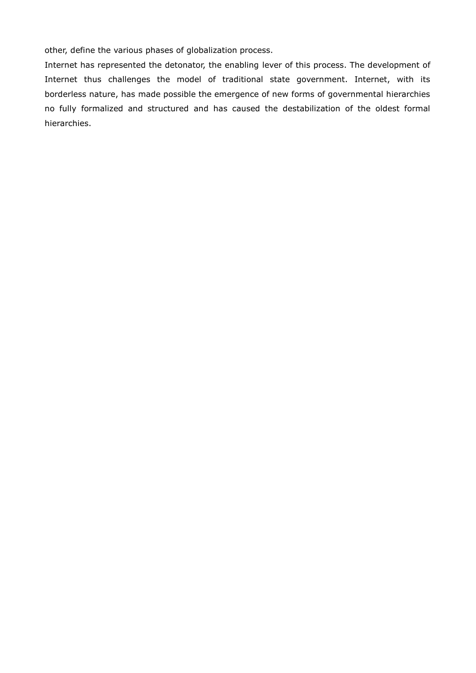other, define the various phases of globalization process.

Internet has represented the detonator, the enabling lever of this process. The development of Internet thus challenges the model of traditional state government. Internet, with its borderless nature, has made possible the emergence of new forms of governmental hierarchies no fully formalized and structured and has caused the destabilization of the oldest formal hierarchies.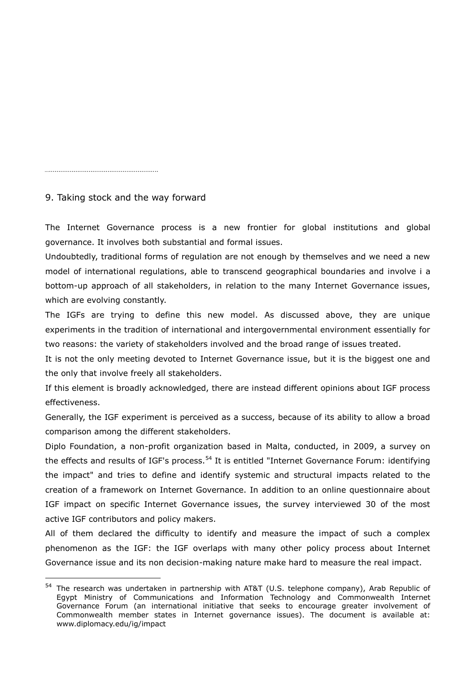…………………………………………………………

-

### 9. Taking stock and the way forward

The Internet Governance process is a new frontier for global institutions and global governance. It involves both substantial and formal issues.

Undoubtedly, traditional forms of regulation are not enough by themselves and we need a new model of international regulations, able to transcend geographical boundaries and involve i a bottom-up approach of all stakeholders, in relation to the many Internet Governance issues, which are evolving constantly.

The IGFs are trying to define this new model. As discussed above, they are unique experiments in the tradition of international and intergovernmental environment essentially for two reasons: the variety of stakeholders involved and the broad range of issues treated.

It is not the only meeting devoted to Internet Governance issue, but it is the biggest one and the only that involve freely all stakeholders.

If this element is broadly acknowledged, there are instead different opinions about IGF process effectiveness.

Generally, the IGF experiment is perceived as a success, because of its ability to allow a broad comparison among the different stakeholders.

Diplo Foundation, a non-profit organization based in Malta, conducted, in 2009, a survey on the effects and results of IGF's process.<sup>54</sup> It is entitled "Internet Governance Forum: identifying the impact" and tries to define and identify systemic and structural impacts related to the creation of a framework on Internet Governance. In addition to an online questionnaire about IGF impact on specific Internet Governance issues, the survey interviewed 30 of the most active IGF contributors and policy makers.

All of them declared the difficulty to identify and measure the impact of such a complex phenomenon as the IGF: the IGF overlaps with many other policy process about Internet Governance issue and its non decision-making nature make hard to measure the real impact.

<sup>&</sup>lt;sup>54</sup> The research was undertaken in partnership with AT&T (U.S. telephone company), Arab Republic of Egypt Ministry of Communications and Information Technology and Commonwealth Internet Governance Forum (an international initiative that seeks to encourage greater involvement of Commonwealth member states in Internet governance issues). The document is available at: www.diplomacy.edu/ig/impact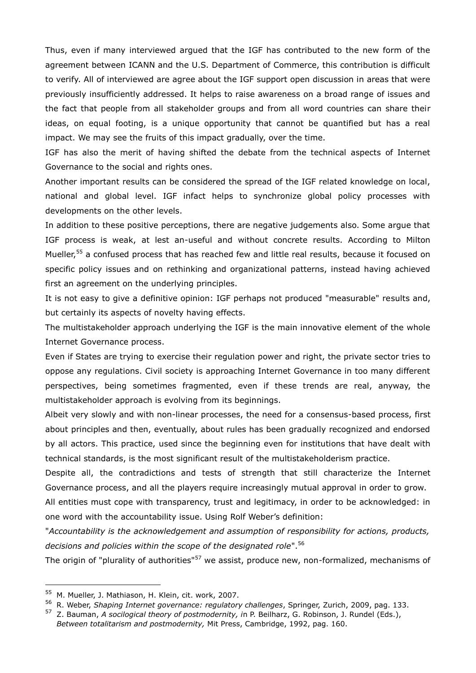Thus, even if many interviewed argued that the IGF has contributed to the new form of the agreement between ICANN and the U.S. Department of Commerce, this contribution is difficult to verify. All of interviewed are agree about the IGF support open discussion in areas that were previously insufficiently addressed. It helps to raise awareness on a broad range of issues and the fact that people from all stakeholder groups and from all word countries can share their ideas, on equal footing, is a unique opportunity that cannot be quantified but has a real impact. We may see the fruits of this impact gradually, over the time.

IGF has also the merit of having shifted the debate from the technical aspects of Internet Governance to the social and rights ones.

Another important results can be considered the spread of the IGF related knowledge on local, national and global level. IGF infact helps to synchronize global policy processes with developments on the other levels.

In addition to these positive perceptions, there are negative judgements also. Some argue that IGF process is weak, at lest an-useful and without concrete results. According to Milton Mueller,<sup>55</sup> a confused process that has reached few and little real results, because it focused on specific policy issues and on rethinking and organizational patterns, instead having achieved first an agreement on the underlying principles.

It is not easy to give a definitive opinion: IGF perhaps not produced "measurable" results and, but certainly its aspects of novelty having effects.

The multistakeholder approach underlying the IGF is the main innovative element of the whole Internet Governance process.

Even if States are trying to exercise their regulation power and right, the private sector tries to oppose any regulations. Civil society is approaching Internet Governance in too many different perspectives, being sometimes fragmented, even if these trends are real, anyway, the multistakeholder approach is evolving from its beginnings.

Albeit very slowly and with non-linear processes, the need for a consensus-based process, first about principles and then, eventually, about rules has been gradually recognized and endorsed by all actors. This practice, used since the beginning even for institutions that have dealt with technical standards, is the most significant result of the multistakeholderism practice.

Despite all, the contradictions and tests of strength that still characterize the Internet Governance process, and all the players require increasingly mutual approval in order to grow.

All entities must cope with transparency, trust and legitimacy, in order to be acknowledged: in one word with the accountability issue. Using Rolf Weber's definition:

"*Accountability is the acknowledgement and assumption of responsibility for actions, products, decisions and policies within the scope of the designated role*".<sup>56</sup>

The origin of "plurality of authorities"<sup>57</sup> we assist, produce new, non-formalized, mechanisms of

<sup>55</sup> M. Mueller, J. Mathiason, H. Klein, cit. work, 2007.

<sup>56</sup> R. Weber, *Shaping Internet governance: regulatory challenges*, Springer, Zurich, 2009, pag. 133.

<sup>57</sup> Z. Bauman, *A socilogical theory of postmodernity, i*n P. Beilharz, G. Robinson, J. Rundel (Eds.), *Between totalitarism and postmodernity,* Mit Press, Cambridge, 1992, pag. 160.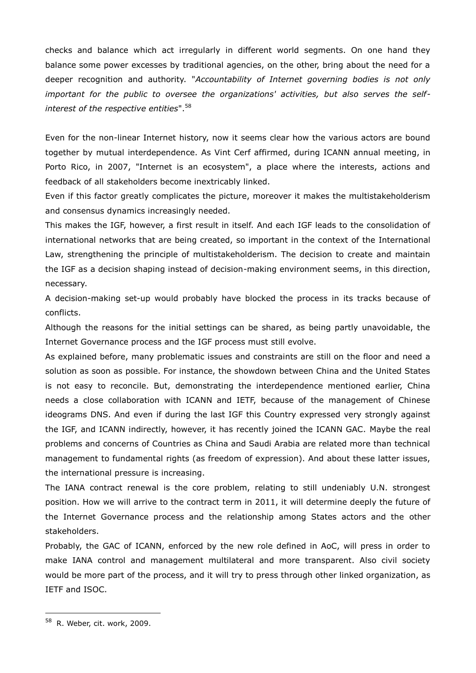checks and balance which act irregularly in different world segments. On one hand they balance some power excesses by traditional agencies, on the other, bring about the need for a deeper recognition and authority. "*Accountability of Internet governing bodies is not only important for the public to oversee the organizations' activities, but also serves the selfinterest of the respective entities*".<sup>58</sup>

Even for the non-linear Internet history, now it seems clear how the various actors are bound together by mutual interdependence. As Vint Cerf affirmed, during ICANN annual meeting, in Porto Rico, in 2007, "Internet is an ecosystem", a place where the interests, actions and feedback of all stakeholders become inextricably linked.

Even if this factor greatly complicates the picture, moreover it makes the multistakeholderism and consensus dynamics increasingly needed.

This makes the IGF, however, a first result in itself. And each IGF leads to the consolidation of international networks that are being created, so important in the context of the International Law, strengthening the principle of multistakeholderism. The decision to create and maintain the IGF as a decision shaping instead of decision-making environment seems, in this direction, necessary.

A decision-making set-up would probably have blocked the process in its tracks because of conflicts.

Although the reasons for the initial settings can be shared, as being partly unavoidable, the Internet Governance process and the IGF process must still evolve.

As explained before, many problematic issues and constraints are still on the floor and need a solution as soon as possible. For instance, the showdown between China and the United States is not easy to reconcile. But, demonstrating the interdependence mentioned earlier, China needs a close collaboration with ICANN and IETF, because of the management of Chinese ideograms DNS. And even if during the last IGF this Country expressed very strongly against the IGF, and ICANN indirectly, however, it has recently joined the ICANN GAC. Maybe the real problems and concerns of Countries as China and Saudi Arabia are related more than technical management to fundamental rights (as freedom of expression). And about these latter issues, the international pressure is increasing.

The IANA contract renewal is the core problem, relating to still undeniably U.N. strongest position. How we will arrive to the contract term in 2011, it will determine deeply the future of the Internet Governance process and the relationship among States actors and the other stakeholders.

Probably, the GAC of ICANN, enforced by the new role defined in AoC, will press in order to make IANA control and management multilateral and more transparent. Also civil society would be more part of the process, and it will try to press through other linked organization, as IETF and ISOC.

<sup>58</sup> R. Weber, cit. work, 2009.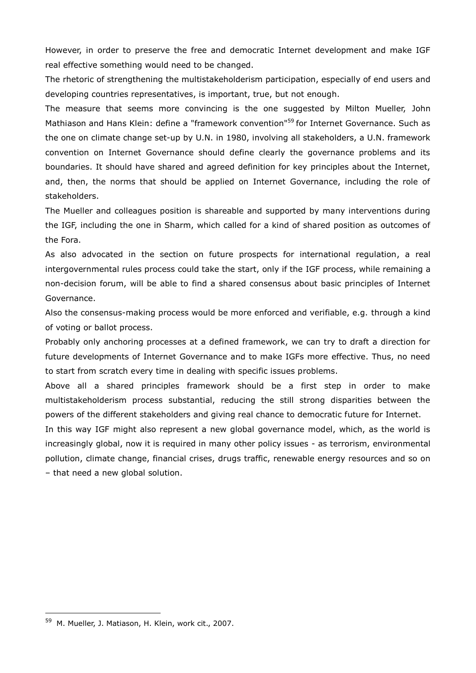However, in order to preserve the free and democratic Internet development and make IGF real effective something would need to be changed.

The rhetoric of strengthening the multistakeholderism participation, especially of end users and developing countries representatives, is important, true, but not enough.

The measure that seems more convincing is the one suggested by Milton Mueller, John Mathiason and Hans Klein: define a "framework convention"<sup>59</sup> for Internet Governance. Such as the one on climate change set-up by U.N. in 1980, involving all stakeholders, a U.N. framework convention on Internet Governance should define clearly the governance problems and its boundaries. It should have shared and agreed definition for key principles about the Internet, and, then, the norms that should be applied on Internet Governance, including the role of stakeholders.

The Mueller and colleagues position is shareable and supported by many interventions during the IGF, including the one in Sharm, which called for a kind of shared position as outcomes of the Fora.

As also advocated in the section on future prospects for international regulation, a real intergovernmental rules process could take the start, only if the IGF process, while remaining a non-decision forum, will be able to find a shared consensus about basic principles of Internet Governance.

Also the consensus-making process would be more enforced and verifiable, e.g. through a kind of voting or ballot process.

Probably only anchoring processes at a defined framework, we can try to draft a direction for future developments of Internet Governance and to make IGFs more effective. Thus, no need to start from scratch every time in dealing with specific issues problems.

Above all a shared principles framework should be a first step in order to make multistakeholderism process substantial, reducing the still strong disparities between the powers of the different stakeholders and giving real chance to democratic future for Internet.

In this way IGF might also represent a new global governance model, which, as the world is increasingly global, now it is required in many other policy issues - as terrorism, environmental pollution, climate change, financial crises, drugs traffic, renewable energy resources and so on – that need a new global solution.

<sup>59</sup> M. Mueller, J. Matiason, H. Klein, work cit., 2007.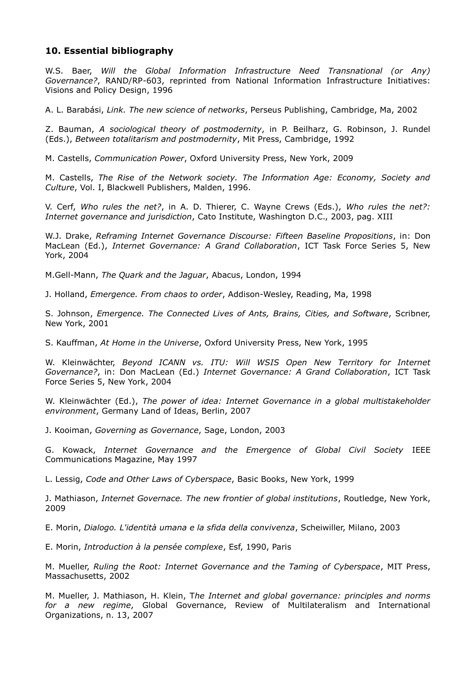## **10. Essential bibliography**

W.S. Baer, Will the Global Information Infrastructure Need Transnational (or Any) *Governance?*, RAND/RP-603, reprinted from National Information Infrastructure Initiatives: Visions and Policy Design, 1996

A. L. Barabási, *Link. The new science of networks*, Perseus Publishing, Cambridge, Ma, 2002

Z. Bauman, *A sociological theory of postmodernity*, in P. Beilharz, G. Robinson, J. Rundel (Eds.), *Between totalitarism and postmodernity*, Mit Press, Cambridge, 1992

M. Castells, *Communication Power*, Oxford University Press, New York, 2009

M. Castells, *The Rise of the Network society. The Information Age: Economy, Society and Culture*, Vol. I, Blackwell Publishers, Malden, 1996.

V. Cerf, *Who rules the net?*, in A. D. Thierer, C. Wayne Crews (Eds.), *Who rules the net?: Internet governance and jurisdiction*, Cato Institute, Washington D.C., 2003, pag. XIII

W.J. Drake, *Reframing Internet Governance Discourse: Fifteen Baseline Propositions*, in: Don MacLean (Ed.), *Internet Governance: A Grand Collaboration*, ICT Task Force Series 5, New York, 2004

M.Gell-Mann, *The Quark and the Jaguar*, Abacus, London, 1994

J. Holland, *Emergence. From chaos to order*, Addison-Wesley, Reading, Ma, 1998

S. Johnson, *Emergence. The Connected Lives of Ants, Brains, Cities, and Software*, Scribner, New York, 2001

S. Kauffman, *At Home in the Universe*, Oxford University Press, New York, 1995

W. Kleinwächter, Beyond ICANN vs. ITU: Will WSIS Open New Territory for Internet *Governance?*, in: Don MacLean (Ed.) *Internet Governance: A Grand Collaboration*, ICT Task Force Series 5, New York, 2004

W. Kleinwächter (Ed.), *The power of idea: Internet Governance in a global multistakeholder environment*, Germany Land of Ideas, Berlin, 2007

J. Kooiman, *Governing as Governance*, Sage, London, 2003

G. Kowack, *Internet Governance and the Emergence of Global Civil Society* IEEE Communications Magazine, May 1997

L. Lessig, *Code and Other Laws of Cyberspace*, Basic Books, New York, 1999

J. Mathiason, *Internet Governace. The new frontier of global institutions*, Routledge, New York, 2009

E. Morin, *Dialogo. L'identità umana e la sfida della convivenza*, Scheiwiller, Milano, 2003

E. Morin, *Introduction à la pensée complexe*, Esf, 1990, Paris

M. Mueller, *Ruling the Root: Internet Governance and the Taming of Cyberspace*, MIT Press, Massachusetts, 2002

M. Mueller, J. Mathiason, H. Klein, T*he Internet and global governance: principles and norms for a new regime*, Global Governance, Review of Multilateralism and International Organizations, n. 13, 2007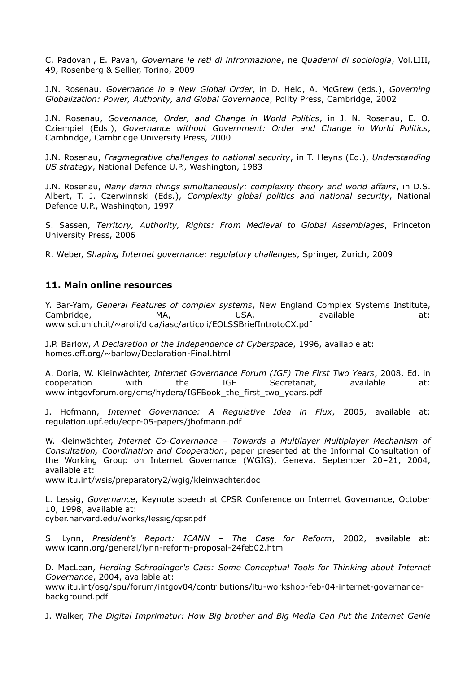C. Padovani, E. Pavan, *Governare le reti di infrormazione*, ne *Quaderni di sociologia*, Vol.LIII, 49, Rosenberg & Sellier, Torino, 2009

J.N. Rosenau, *Governance in a New Global Order*, in D. Held, A. McGrew (eds.), *Governing Globalization: Power, Authority, and Global Governance*, Polity Press, Cambridge, 2002

J.N. Rosenau, *Governance, Order, and Change in World Politics*, in J. N. Rosenau, E. O. Cziempiel (Eds.), *Governance without Government: Order and Change in World Politics*, Cambridge, Cambridge University Press, 2000

J.N. Rosenau, *Fragmegrative challenges to national security*, in T. Heyns (Ed.), *Understanding US strategy*, National Defence U.P., Washington, 1983

J.N. Rosenau, *Many damn things simultaneously: complexity theory and world affairs*, in D.S. Albert, T. J. Czerwinnski (Eds.), *Complexity global politics and national security*, National Defence U.P., Washington, 1997

S. Sassen, *Territory, Authority, Rights: From Medieval to Global Assemblages*, Princeton University Press, 2006

R. Weber, *Shaping Internet governance: regulatory challenges*, Springer, Zurich, 2009

### **11. Main online resources**

Y. Bar-Yam, *General Features of complex systems*, New England Complex Systems Institute, Cambridge,  $MA$ , MA, USA, available at: www.sci.unich.it/~aroli/dida/iasc/articoli/EOLSSBriefIntrotoCX.pdf

J.P. Barlow, *A Declaration of the Independence of Cyberspace*, 1996, available at: homes.eff.org/~barlow/Declaration-Final.html

A. Doria, W. Kleinwächter, *Internet Governance Forum (IGF) The First Two Years*, 2008, Ed. in cooperation with the IGF Secretariat, available at: www.intgovforum.org/cms/hydera/IGFBook\_the\_first\_two\_years.pdf

J. Hofmann, *Internet Governance: A Regulative Idea in Flux*, 2005, available at: regulation.upf.edu/ecpr-05-papers/jhofmann.pdf

W. Kleinwächter, *Internet Co-Governance – Towards a Multilayer Multiplayer Mechanism of Consultation, Coordination and Cooperation*, paper presented at the Informal Consultation of the Working Group on Internet Governance (WGIG), Geneva, September 20–21, 2004, available at:

www.itu.int/wsis/preparatory2/wgig/kleinwachter.doc

L. Lessig, *Governance*, Keynote speech at CPSR Conference on Internet Governance, October 10, 1998, available at:

cyber.harvard.edu/works/lessig/cpsr.pdf

S. Lynn, *President's Report: ICANN – The Case for Reform*, 2002, available at: www.icann.org/general/lynn-reform-proposal-24feb02.htm

D. MacLean, *Herding Schrodinger's Cats: Some Conceptual Tools for Thinking about Internet Governance*, 2004, available at:

www.itu.int/osg/spu/forum/intgov04/contributions/itu-workshop-feb-04-internet-governancebackground.pdf

J. Walker, *The Digital Imprimatur: How Big brother and Big Media Can Put the Internet Genie*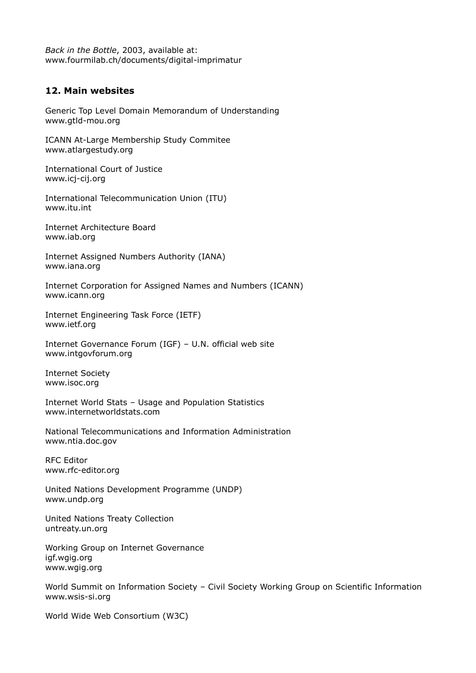*Back in the Bottle*, 2003, available at: www.fourmilab.ch/documents/digital-imprimatur

# **12. Main websites**

Generic Top Level Domain Memorandum of Understanding www.gtld-mou.org

ICANN At-Large Membership Study Commitee www.atlargestudy.org

International Court of Justice www.icj-cij.org

International Telecommunication Union (ITU) www.itu.int

Internet Architecture Board www.iab.org

Internet Assigned Numbers Authority (IANA) www.iana.org

Internet Corporation for Assigned Names and Numbers (ICANN) www.icann.org

Internet Engineering Task Force (IETF) www.ietf.org

Internet Governance Forum (IGF) – U.N. official web site www.intgovforum.org

Internet Society www.isoc.org

Internet World Stats – Usage and Population Statistics www.internetworldstats.com

National Telecommunications and Information Administration www.ntia.doc.gov

RFC Editor www.rfc-editor.org

United Nations Development Programme (UNDP) www.undp.org

United Nations Treaty Collection untreaty.un.org

Working Group on Internet Governance igf.wgig.org www.wgig.org

World Summit on Information Society – Civil Society Working Group on Scientific Information www.wsis-si.org

World Wide Web Consortium (W3C)